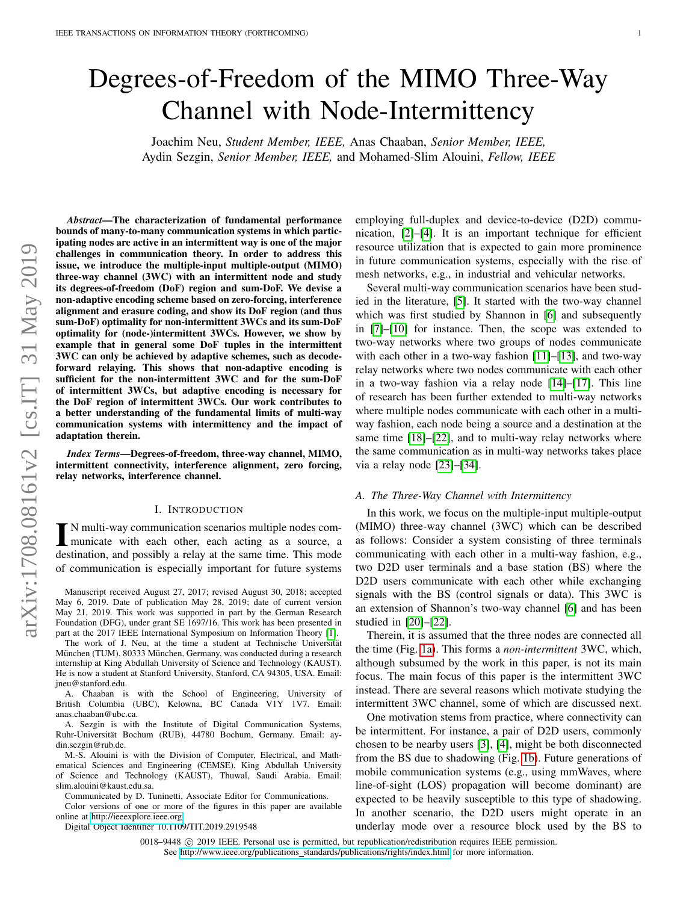# Degrees-of-Freedom of the MIMO Three-Way Channel with Node-Intermittency

Joachim Neu, *Student Member, IEEE,* Anas Chaaban, *Senior Member, IEEE,* Aydin Sezgin, *Senior Member, IEEE,* and Mohamed-Slim Alouini, *Fellow, IEEE*

*Abstract*—The characterization of fundamental performance bounds of many-to-many communication systems in which participating nodes are active in an intermittent way is one of the major challenges in communication theory. In order to address this issue, we introduce the multiple-input multiple-output (MIMO) three-way channel (3WC) with an intermittent node and study its degrees-of-freedom (DoF) region and sum-DoF. We devise a non-adaptive encoding scheme based on zero-forcing, interference alignment and erasure coding, and show its DoF region (and thus sum-DoF) optimality for non-intermittent 3WCs and its sum-DoF optimality for (node-)intermittent 3WCs. However, we show by example that in general some DoF tuples in the intermittent 3WC can only be achieved by adaptive schemes, such as decodeforward relaying. This shows that non-adaptive encoding is sufficient for the non-intermittent 3WC and for the sum-DoF of intermittent 3WCs, but adaptive encoding is necessary for the DoF region of intermittent 3WCs. Our work contributes to a better understanding of the fundamental limits of multi-way communication systems with intermittency and the impact of adaptation therein.

*Index Terms*—Degrees-of-freedom, three-way channel, MIMO, intermittent connectivity, interference alignment, zero forcing, relay networks, interference channel.

#### I. INTRODUCTION

I N multi-way communication scenarios multiple nodes com-<br>municate with each other, each acting as a source, a<br>destination, and possibly a relay at the same time. This mode N multi-way communication scenarios multiple nodes communicate with each other, each acting as a source, a of communication is especially important for future systems

Manuscript received August 27, 2017; revised August 30, 2018; accepted May 6, 2019. Date of publication May 28, 2019; date of current version May 21, 2019. This work was supported in part by the German Research Foundation (DFG), under grant SE 1697/16. This work has been presented in part at the 2017 IEEE International Symposium on Information Theory [\[1\]](#page-18-0).

The work of J. Neu, at the time a student at Technische Universität München (TUM), 80333 München, Germany, was conducted during a research internship at King Abdullah University of Science and Technology (KAUST). He is now a student at Stanford University, Stanford, CA 94305, USA. Email: jneu@stanford.edu.

A. Chaaban is with the School of Engineering, University of British Columbia (UBC), Kelowna, BC Canada V1Y 1V7. Email: anas.chaaban@ubc.ca.

A. Sezgin is with the Institute of Digital Communication Systems, Ruhr-Universität Bochum (RUB), 44780 Bochum, Germany. Email: aydin.sezgin@rub.de.

M.-S. Alouini is with the Division of Computer, Electrical, and Mathematical Sciences and Engineering (CEMSE), King Abdullah University of Science and Technology (KAUST), Thuwal, Saudi Arabia. Email: slim.alouini@kaust.edu.sa.

Communicated by D. Tuninetti, Associate Editor for Communications.

Color versions of one or more of the figures in this paper are available online at [http://ieeexplore.ieee.org.](http://ieeexplore.ieee.org)

Digital Object Identifier 10.1109/TIT.2019.2919548

employing full-duplex and device-to-device (D2D) communication, [\[2\]](#page-18-1)–[\[4\]](#page-18-2). It is an important technique for efficient resource utilization that is expected to gain more prominence in future communication systems, especially with the rise of mesh networks, e.g., in industrial and vehicular networks.

Several multi-way communication scenarios have been studied in the literature, [\[5\]](#page-18-3). It started with the two-way channel which was first studied by Shannon in [\[6\]](#page-18-4) and subsequently in [\[7\]](#page-18-5)–[\[10\]](#page-18-6) for instance. Then, the scope was extended to two-way networks where two groups of nodes communicate with each other in a two-way fashion [\[11\]](#page-18-7)–[\[13\]](#page-18-8), and two-way relay networks where two nodes communicate with each other in a two-way fashion via a relay node [\[14\]](#page-18-9)–[\[17\]](#page-18-10). This line of research has been further extended to multi-way networks where multiple nodes communicate with each other in a multiway fashion, each node being a source and a destination at the same time [\[18\]](#page-18-11)–[\[22\]](#page-18-12), and to multi-way relay networks where the same communication as in multi-way networks takes place via a relay node [\[23\]](#page-18-13)–[\[34\]](#page-18-14).

#### *A. The Three-Way Channel with Intermittency*

In this work, we focus on the multiple-input multiple-output (MIMO) three-way channel (3WC) which can be described as follows: Consider a system consisting of three terminals communicating with each other in a multi-way fashion, e.g., two D2D user terminals and a base station (BS) where the D2D users communicate with each other while exchanging signals with the BS (control signals or data). This 3WC is an extension of Shannon's two-way channel [\[6\]](#page-18-4) and has been studied in [\[20\]](#page-18-15)–[\[22\]](#page-18-12).

Therein, it is assumed that the three nodes are connected all the time (Fig. [1a\)](#page-1-0). This forms a *non-intermittent* 3WC, which, although subsumed by the work in this paper, is not its main focus. The main focus of this paper is the intermittent 3WC instead. There are several reasons which motivate studying the intermittent 3WC channel, some of which are discussed next.

One motivation stems from practice, where connectivity can be intermittent. For instance, a pair of D2D users, commonly chosen to be nearby users [\[3\]](#page-18-16), [\[4\]](#page-18-2), might be both disconnected from the BS due to shadowing (Fig. [1b\)](#page-1-1). Future generations of mobile communication systems (e.g., using mmWaves, where line-of-sight (LOS) propagation will become dominant) are expected to be heavily susceptible to this type of shadowing. In another scenario, the D2D users might operate in an underlay mode over a resource block used by the BS to

0018–9448 © 2019 IEEE. Personal use is permitted, but republication/redistribution requires IEEE permission. See http://www.ieee.org/publications [standards/publications/rights/index.html](http://www.ieee.org/publications_standards/publications/rights/index.html) for more information.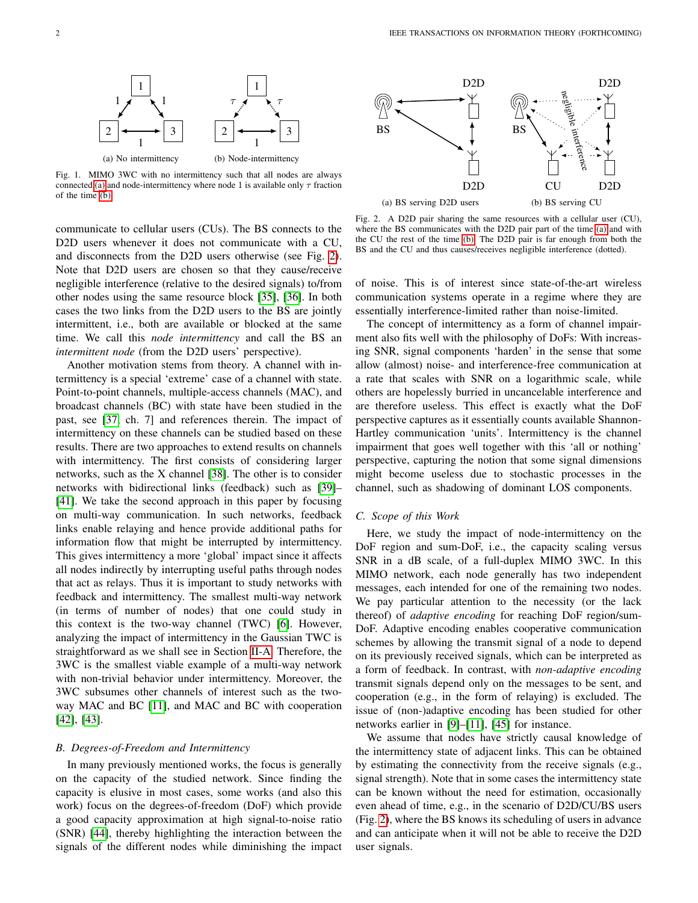<span id="page-1-1"></span><span id="page-1-0"></span>

Fig. 1. MIMO 3WC with no intermittency such that all nodes are always connected [\(a\)](#page-1-0) and node-intermittency where node 1 is available only  $\tau$  fraction of the time [\(b\)](#page-1-1)

communicate to cellular users (CUs). The BS connects to the D2D users whenever it does not communicate with a CU, and disconnects from the D2D users otherwise (see Fig. [2\)](#page-1-2). Note that D2D users are chosen so that they cause/receive negligible interference (relative to the desired signals) to/from other nodes using the same resource block [\[35\]](#page-18-17), [\[36\]](#page-18-18). In both cases the two links from the D2D users to the BS are jointly intermittent, i.e., both are available or blocked at the same time. We call this *node intermittency* and call the BS an *intermittent node* (from the D2D users' perspective).

Another motivation stems from theory. A channel with intermittency is a special 'extreme' case of a channel with state. Point-to-point channels, multiple-access channels (MAC), and broadcast channels (BC) with state have been studied in the past, see [\[37,](#page-18-19) ch. 7] and references therein. The impact of intermittency on these channels can be studied based on these results. There are two approaches to extend results on channels with intermittency. The first consists of considering larger networks, such as the X channel [\[38\]](#page-18-20). The other is to consider networks with bidirectional links (feedback) such as [\[39\]](#page-18-21)– [\[41\]](#page-18-22). We take the second approach in this paper by focusing on multi-way communication. In such networks, feedback links enable relaying and hence provide additional paths for information flow that might be interrupted by intermittency. This gives intermittency a more 'global' impact since it affects all nodes indirectly by interrupting useful paths through nodes that act as relays. Thus it is important to study networks with feedback and intermittency. The smallest multi-way network (in terms of number of nodes) that one could study in this context is the two-way channel (TWC) [\[6\]](#page-18-4). However, analyzing the impact of intermittency in the Gaussian TWC is straightforward as we shall see in Section [II-A.](#page-2-0) Therefore, the 3WC is the smallest viable example of a multi-way network with non-trivial behavior under intermittency. Moreover, the 3WC subsumes other channels of interest such as the twoway MAC and BC [\[11\]](#page-18-7), and MAC and BC with cooperation [\[42\]](#page-18-23), [\[43\]](#page-18-24).

#### *B. Degrees-of-Freedom and Intermittency*

In many previously mentioned works, the focus is generally on the capacity of the studied network. Since finding the capacity is elusive in most cases, some works (and also this work) focus on the degrees-of-freedom (DoF) which provide a good capacity approximation at high signal-to-noise ratio (SNR) [\[44\]](#page-18-25), thereby highlighting the interaction between the signals of the different nodes while diminishing the impact

<span id="page-1-3"></span>

<span id="page-1-4"></span><span id="page-1-2"></span>Fig. 2. A D2D pair sharing the same resources with a cellular user (CU), where the BS communicates with the D2D pair part of the time [\(a\)](#page-1-3) and with the CU the rest of the time [\(b\).](#page-1-4) The D2D pair is far enough from both the BS and the CU and thus causes/receives negligible interference (dotted).

of noise. This is of interest since state-of-the-art wireless communication systems operate in a regime where they are essentially interference-limited rather than noise-limited.

The concept of intermittency as a form of channel impairment also fits well with the philosophy of DoFs: With increasing SNR, signal components 'harden' in the sense that some allow (almost) noise- and interference-free communication at a rate that scales with SNR on a logarithmic scale, while others are hopelessly burried in uncancelable interference and are therefore useless. This effect is exactly what the DoF perspective captures as it essentially counts available Shannon-Hartley communication 'units'. Intermittency is the channel impairment that goes well together with this 'all or nothing' perspective, capturing the notion that some signal dimensions might become useless due to stochastic processes in the channel, such as shadowing of dominant LOS components.

#### *C. Scope of this Work*

Here, we study the impact of node-intermittency on the DoF region and sum-DoF, i.e., the capacity scaling versus SNR in a dB scale, of a full-duplex MIMO 3WC. In this MIMO network, each node generally has two independent messages, each intended for one of the remaining two nodes. We pay particular attention to the necessity (or the lack thereof) of *adaptive encoding* for reaching DoF region/sum-DoF. Adaptive encoding enables cooperative communication schemes by allowing the transmit signal of a node to depend on its previously received signals, which can be interpreted as a form of feedback. In contrast, with *non-adaptive encoding* transmit signals depend only on the messages to be sent, and cooperation (e.g., in the form of relaying) is excluded. The issue of (non-)adaptive encoding has been studied for other networks earlier in [\[9\]](#page-18-26)–[\[11\]](#page-18-7), [\[45\]](#page-18-27) for instance.

We assume that nodes have strictly causal knowledge of the intermittency state of adjacent links. This can be obtained by estimating the connectivity from the receive signals (e.g., signal strength). Note that in some cases the intermittency state can be known without the need for estimation, occasionally even ahead of time, e.g., in the scenario of D2D/CU/BS users (Fig. [2\)](#page-1-2), where the BS knows its scheduling of users in advance and can anticipate when it will not be able to receive the D2D user signals.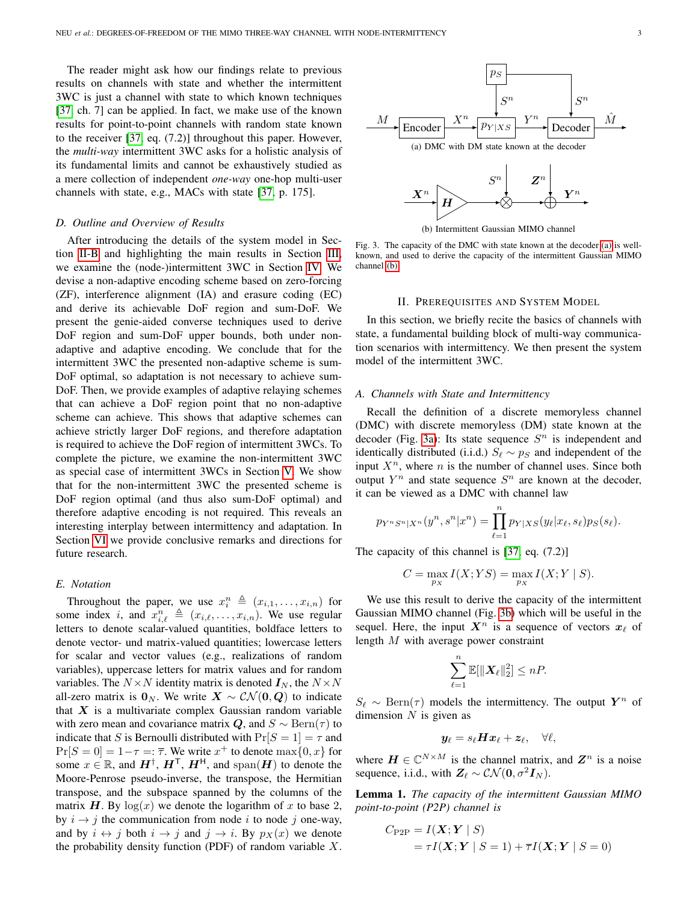The reader might ask how our findings relate to previous results on channels with state and whether the intermittent 3WC is just a channel with state to which known techniques [\[37,](#page-18-19) ch. 7] can be applied. In fact, we make use of the known results for point-to-point channels with random state known to the receiver [\[37,](#page-18-19) eq. (7.2)] throughout this paper. However, the *multi-way* intermittent 3WC asks for a holistic analysis of its fundamental limits and cannot be exhaustively studied as a mere collection of independent *one-way* one-hop multi-user channels with state, e.g., MACs with state [\[37,](#page-18-19) p. 175].

#### *D. Outline and Overview of Results*

After introducing the details of the system model in Section [II-B](#page-3-0) and highlighting the main results in Section [III,](#page-4-0) we examine the (node-)intermittent 3WC in Section [IV.](#page-6-0) We devise a non-adaptive encoding scheme based on zero-forcing (ZF), interference alignment (IA) and erasure coding (EC) and derive its achievable DoF region and sum-DoF. We present the genie-aided converse techniques used to derive DoF region and sum-DoF upper bounds, both under nonadaptive and adaptive encoding. We conclude that for the intermittent 3WC the presented non-adaptive scheme is sum-DoF optimal, so adaptation is not necessary to achieve sum-DoF. Then, we provide examples of adaptive relaying schemes that can achieve a DoF region point that no non-adaptive scheme can achieve. This shows that adaptive schemes can achieve strictly larger DoF regions, and therefore adaptation is required to achieve the DoF region of intermittent 3WCs. To complete the picture, we examine the non-intermittent 3WC as special case of intermittent 3WCs in Section [V.](#page-15-0) We show that for the non-intermittent 3WC the presented scheme is DoF region optimal (and thus also sum-DoF optimal) and therefore adaptive encoding is not required. This reveals an interesting interplay between intermittency and adaptation. In Section [VI](#page-16-0) we provide conclusive remarks and directions for future research.

## *E. Notation*

Throughout the paper, we use  $x_i^n \triangleq (x_{i,1}, \ldots, x_{i,n})$  for some index i, and  $x_{i,\ell}^n \triangleq (x_{i,\ell}, \ldots, x_{i,n})$ . We use regular letters to denote scalar-valued quantities, boldface letters to denote vector- und matrix-valued quantities; lowercase letters for scalar and vector values (e.g., realizations of random variables), uppercase letters for matrix values and for random variables. The  $N \times N$  identity matrix is denoted  $I_N$ , the  $N \times N$ all-zero matrix is  $\mathbf{0}_N$ . We write  $\mathbf{X} \sim \mathcal{CN}(\mathbf{0}, \mathbf{Q})$  to indicate that  $X$  is a multivariate complex Gaussian random variable with zero mean and covariance matrix Q, and  $S \sim \text{Bern}(\tau)$  to indicate that S is Bernoulli distributed with  $Pr[S = 1] = \tau$  and  $Pr[S = 0] = 1 - \tau =: \overline{\tau}$ . We write  $x^+$  to denote  $max\{0, x\}$  for some  $x \in \mathbb{R}$ , and  $H^{\dagger}$ ,  $H^{\dagger}$ ,  $H^{\dagger}$ , and span $(H)$  to denote the Moore-Penrose pseudo-inverse, the transpose, the Hermitian transpose, and the subspace spanned by the columns of the matrix H. By  $log(x)$  we denote the logarithm of x to base 2, by  $i \rightarrow j$  the communication from node i to node j one-way, and by  $i \leftrightarrow j$  both  $i \to j$  and  $j \to i$ . By  $p_X(x)$  we denote the probability density function (PDF) of random variable  $X$ .

<span id="page-2-1"></span>

(b) Intermittent Gaussian MIMO channel

<span id="page-2-2"></span>Fig. 3. The capacity of the DMC with state known at the decoder [\(a\)](#page-2-1) is wellknown, and used to derive the capacity of the intermittent Gaussian MIMO channel [\(b\)](#page-2-2)

#### II. PREREQUISITES AND SYSTEM MODEL

In this section, we briefly recite the basics of channels with state, a fundamental building block of multi-way communication scenarios with intermittency. We then present the system model of the intermittent 3WC.

#### <span id="page-2-0"></span>*A. Channels with State and Intermittency*

Recall the definition of a discrete memoryless channel (DMC) with discrete memoryless (DM) state known at the decoder (Fig. [3a\)](#page-2-1): Its state sequence  $S<sup>n</sup>$  is independent and identically distributed (i.i.d.)  $S_\ell \sim p_S$  and independent of the input  $X^n$ , where *n* is the number of channel uses. Since both output  $Y^n$  and state sequence  $S^n$  are known at the decoder, it can be viewed as a DMC with channel law

$$
p_{Y^n S^n|X^n}(y^n, s^n|x^n) = \prod_{\ell=1}^n p_{Y|XS}(y_\ell|x_\ell, s_\ell)p_S(s_\ell).
$$

The capacity of this channel is [\[37,](#page-18-19) eq. (7.2)]

$$
C = \max_{p_X} I(X;YS) = \max_{p_X} I(X;Y \mid S).
$$

We use this result to derive the capacity of the intermittent Gaussian MIMO channel (Fig. [3b\)](#page-2-2) which will be useful in the sequel. Here, the input  $X^n$  is a sequence of vectors  $x_\ell$  of length M with average power constraint

$$
\sum_{\ell=1}^n \mathbb{E}[\|\boldsymbol{X}_{\ell}\|_2^2] \leq nP.
$$

 $S_{\ell} \sim \text{Bern}(\tau)$  models the intermittency. The output  $Y^n$  of dimension  $N$  is given as

$$
\boldsymbol{y}_{\ell}=s_{\ell}\boldsymbol{H}\boldsymbol{x}_{\ell}+\boldsymbol{z}_{\ell},\quad\forall\ell,
$$

where  $\mathbf{H} \in \mathbb{C}^{N \times M}$  is the channel matrix, and  $\mathbf{Z}^n$  is a noise sequence, i.i.d., with  $Z_{\ell} \sim \mathcal{CN} (0, \sigma^2 I_N)$ .

<span id="page-2-3"></span>Lemma 1. *The capacity of the intermittent Gaussian MIMO point-to-point (P2P) channel is*

$$
C_{\text{P2P}} = I(\boldsymbol{X}; \boldsymbol{Y} \mid S)
$$
  
=  $\tau I(\boldsymbol{X}; \boldsymbol{Y} \mid S = 1) + \overline{\tau} I(\boldsymbol{X}; \boldsymbol{Y} \mid S = 0)$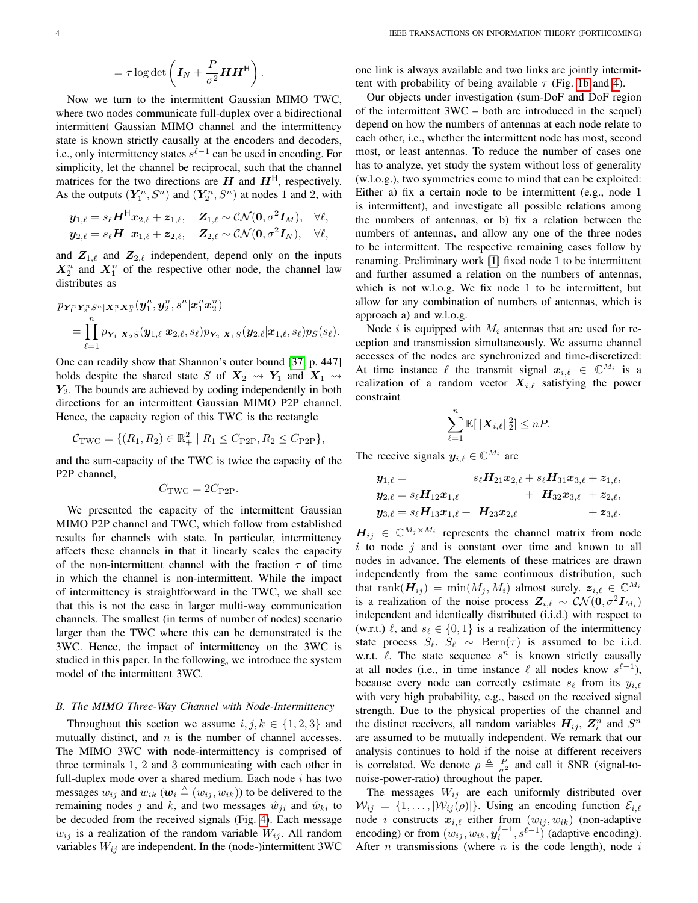$$
= \tau \log \det \left( \boldsymbol{I}_N + \frac{P}{\sigma^2} \boldsymbol{H} \boldsymbol{H}^{\mathsf{H}} \right).
$$

Now we turn to the intermittent Gaussian MIMO TWC, where two nodes communicate full-duplex over a bidirectional intermittent Gaussian MIMO channel and the intermittency state is known strictly causally at the encoders and decoders, i.e., only intermittency states  $s^{\ell-1}$  can be used in encoding. For simplicity, let the channel be reciprocal, such that the channel matrices for the two directions are  $H$  and  $H<sup>H</sup>$ , respectively. As the outputs  $(Y_1^n, S^n)$  and  $(Y_2^n, S^n)$  at nodes 1 and 2, with

$$
\begin{aligned} \boldsymbol{y}_{1,\ell} &= s_\ell \boldsymbol{H}^\mathsf{H} \boldsymbol{x}_{2,\ell} + \boldsymbol{z}_{1,\ell}, \quad \boldsymbol{Z}_{1,\ell} \sim \mathcal{CN}(\boldsymbol{0}, \sigma^2 \boldsymbol{I}_M), \quad \forall \ell, \\ \boldsymbol{y}_{2,\ell} &= s_\ell \boldsymbol{H} ~~ \boldsymbol{x}_{1,\ell} + \boldsymbol{z}_{2,\ell}, \quad \boldsymbol{Z}_{2,\ell} \sim \mathcal{CN}(\boldsymbol{0}, \sigma^2 \boldsymbol{I}_N), \quad \forall \ell, \end{aligned}
$$

and  $\mathbf{Z}_{1,\ell}$  and  $\mathbf{Z}_{2,\ell}$  independent, depend only on the inputs  $X_2^n$  and  $X_1^n$  of the respective other node, the channel law distributes as

$$
\begin{aligned} &p_{\boldsymbol{Y}_{1}^{n}\boldsymbol{Y}_{2}^{n}S^{n}|\boldsymbol{X}_{1}^{n}\boldsymbol{X}_{2}^{n}}(\boldsymbol{y}_{1}^{n},\boldsymbol{y}_{2}^{n},s^{n}|\boldsymbol{x}_{1}^{n}\boldsymbol{x}_{2}^{n})\\ &=\prod_{\ell=1}^{n}p_{\boldsymbol{Y}_{1}|\boldsymbol{X}_{2}S}(\boldsymbol{y}_{1,\ell}|\boldsymbol{x}_{2,\ell},s_{\ell})p_{\boldsymbol{Y}_{2}|\boldsymbol{X}_{1}S}(\boldsymbol{y}_{2,\ell}|\boldsymbol{x}_{1,\ell},s_{\ell})p_{S}(s_{\ell}). \end{aligned}
$$

One can readily show that Shannon's outer bound [\[37,](#page-18-19) p. 447] holds despite the shared state S of  $X_2 \rightsquigarrow Y_1$  and  $X_1 \rightsquigarrow$  $Y_2$ . The bounds are achieved by coding independently in both directions for an intermittent Gaussian MIMO P2P channel. Hence, the capacity region of this TWC is the rectangle

$$
C_{\text{TWC}} = \{ (R_1, R_2) \in \mathbb{R}_+^2 \mid R_1 \le C_{\text{P2P}}, R_2 \le C_{\text{P2P}} \},
$$

and the sum-capacity of the TWC is twice the capacity of the P2P channel,

$$
C_{\rm TWC} = 2C_{\rm P2P}.
$$

We presented the capacity of the intermittent Gaussian MIMO P2P channel and TWC, which follow from established results for channels with state. In particular, intermittency affects these channels in that it linearly scales the capacity of the non-intermittent channel with the fraction  $\tau$  of time in which the channel is non-intermittent. While the impact of intermittency is straightforward in the TWC, we shall see that this is not the case in larger multi-way communication channels. The smallest (in terms of number of nodes) scenario larger than the TWC where this can be demonstrated is the 3WC. Hence, the impact of intermittency on the 3WC is studied in this paper. In the following, we introduce the system model of the intermittent 3WC.

## <span id="page-3-0"></span>*B. The MIMO Three-Way Channel with Node-Intermittency*

Throughout this section we assume  $i, j, k \in \{1, 2, 3\}$  and mutually distinct, and  $n$  is the number of channel accesses. The MIMO 3WC with node-intermittency is comprised of three terminals 1, 2 and 3 communicating with each other in full-duplex mode over a shared medium. Each node  $i$  has two messages  $w_{ij}$  and  $w_{ik}$  ( $w_i \triangleq (w_{ij}, w_{ik})$ ) to be delivered to the remaining nodes j and k, and two messages  $\hat{w}_{ji}$  and  $\hat{w}_{ki}$  to be decoded from the received signals (Fig. [4\)](#page-4-1). Each message  $w_{ij}$  is a realization of the random variable  $W_{ij}$ . All random variables  $W_{ij}$  are independent. In the (node-)intermittent 3WC one link is always available and two links are jointly intermittent with probability of being available  $\tau$  (Fig. [1b](#page-1-1) and [4\)](#page-4-1).

Our objects under investigation (sum-DoF and DoF region of the intermittent 3WC – both are introduced in the sequel) depend on how the numbers of antennas at each node relate to each other, i.e., whether the intermittent node has most, second most, or least antennas. To reduce the number of cases one has to analyze, yet study the system without loss of generality (w.l.o.g.), two symmetries come to mind that can be exploited: Either a) fix a certain node to be intermittent (e.g., node 1 is intermittent), and investigate all possible relations among the numbers of antennas, or b) fix a relation between the numbers of antennas, and allow any one of the three nodes to be intermittent. The respective remaining cases follow by renaming. Preliminary work [\[1\]](#page-18-0) fixed node 1 to be intermittent and further assumed a relation on the numbers of antennas, which is not w.l.o.g. We fix node 1 to be intermittent, but allow for any combination of numbers of antennas, which is approach a) and w.l.o.g.

Node i is equipped with  $M_i$  antennas that are used for reception and transmission simultaneously. We assume channel accesses of the nodes are synchronized and time-discretized: At time instance  $\ell$  the transmit signal  $x_{i,\ell} \in \mathbb{C}^{M_i}$  is a realization of a random vector  $X_{i,\ell}$  satisfying the power constraint

$$
\sum_{\ell=1}^n \mathbb{E}[\|\boldsymbol{X}_{i,\ell}\|_2^2] \leq nP.
$$

The receive signals  $y_{i,\ell} \in \mathbb{C}^{M_i}$  are

$$
y_{1,\ell} = s_{\ell}H_{21}x_{2,\ell} + s_{\ell}H_{31}x_{3,\ell} + z_{1,\ell},
$$
  
\n
$$
y_{2,\ell} = s_{\ell}H_{12}x_{1,\ell} + H_{32}x_{3,\ell} + z_{2,\ell},
$$
  
\n
$$
y_{3,\ell} = s_{\ell}H_{13}x_{1,\ell} + H_{23}x_{2,\ell} + z_{3,\ell}.
$$

 $H_{ij} \in \mathbb{C}^{M_j \times M_i}$  represents the channel matrix from node  $i$  to node  $j$  and is constant over time and known to all nodes in advance. The elements of these matrices are drawn independently from the same continuous distribution, such that  $\text{rank}(\mathbf{H}_{ij}) = \min(M_j, M_i)$  almost surely.  $\mathbf{z}_{i,\ell} \in \mathbb{C}^{M_i}$ is a realization of the noise process  $Z_{i,\ell} \sim \mathcal{CN} (\mathbf{0}, \sigma^2 \mathbf{I}_{M_i})$ independent and identically distributed (i.i.d.) with respect to (w.r.t.)  $\ell$ , and  $s_{\ell} \in \{0, 1\}$  is a realization of the intermittency state process  $S_\ell$ .  $S_\ell \sim \text{Bern}(\tau)$  is assumed to be i.i.d. w.r.t.  $\ell$ . The state sequence  $s^n$  is known strictly causally at all nodes (i.e., in time instance  $\ell$  all nodes know  $s^{\ell-1}$ ), because every node can correctly estimate  $s_\ell$  from its  $y_{i,\ell}$ with very high probability, e.g., based on the received signal strength. Due to the physical properties of the channel and the distinct receivers, all random variables  $H_{ij}$ ,  $Z_i^n$  and  $S^n$ are assumed to be mutually independent. We remark that our analysis continues to hold if the noise at different receivers is correlated. We denote  $\rho \triangleq \frac{P}{\sigma^2}$  and call it SNR (signal-tonoise-power-ratio) throughout the paper.

The messages  $W_{ij}$  are each uniformly distributed over  $W_{ij} = \{1, \ldots, |\mathcal{W}_{ij}(\rho)|\}$ . Using an encoding function  $\mathcal{E}_{i,\ell}$ node i constructs  $x_{i,\ell}$  either from  $(w_{ij}, w_{ik})$  (non-adaptive encoding) or from  $(w_{ij}, w_{ik}, y_i^{\ell-1}, s^{\ell-1})$  (adaptive encoding). After  $n$  transmissions (where  $n$  is the code length), node  $i$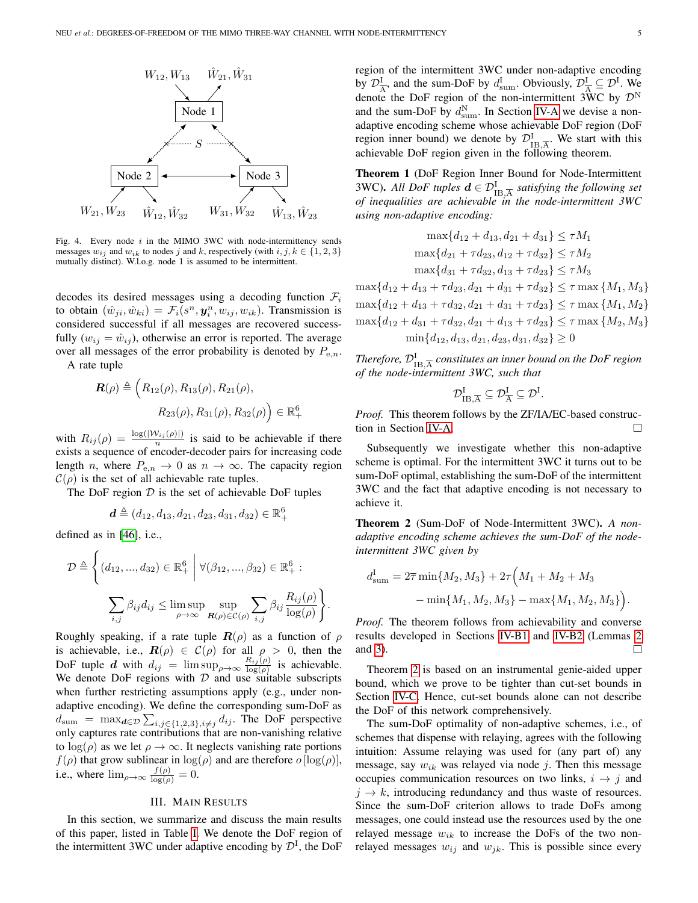

<span id="page-4-1"></span>Fig. 4. Every node  $i$  in the MIMO 3WC with node-intermittency sends messages  $w_{ij}$  and  $w_{ik}$  to nodes j and k, respectively (with  $i, j, k \in \{1, 2, 3\}$ mutually distinct). W.l.o.g. node 1 is assumed to be intermittent.

decodes its desired messages using a decoding function  $\mathcal{F}_i$ to obtain  $(\hat{w}_{ji}, \hat{w}_{ki}) = \mathcal{F}_i(s^n, \mathbf{y}_i^n, w_{ij}, w_{ik})$ . Transmission is considered successful if all messages are recovered successfully  $(w_{ij} = \hat{w}_{ij})$ , otherwise an error is reported. The average over all messages of the error probability is denoted by  $P_{e,n}$ .

A rate tuple

$$
\mathbf{R}(\rho) \triangleq \left(R_{12}(\rho), R_{13}(\rho), R_{21}(\rho), R_{32}(\rho)\right)
$$

$$
R_{23}(\rho), R_{31}(\rho), R_{32}(\rho)\right) \in \mathbb{R}_+^6
$$

with  $R_{ij}(\rho) = \frac{\log(|W_{ij}(\rho)|)}{n}$  is said to be achievable if there exists a sequence of encoder-decoder pairs for increasing code length *n*, where  $P_{e,n} \to 0$  as  $n \to \infty$ . The capacity region  $C(\rho)$  is the set of all achievable rate tuples.

The DoF region  $D$  is the set of achievable DoF tuples

$$
\boldsymbol{d} \triangleq (d_{12}, d_{13}, d_{21}, d_{23}, d_{31}, d_{32}) \in \mathbb{R}_+^6
$$

defined as in [\[46\]](#page-19-0), i.e.,

$$
\mathcal{D} \triangleq \left\{ (d_{12}, ..., d_{32}) \in \mathbb{R}^6_+ \middle| \forall (\beta_{12}, ..., \beta_{32}) \in \mathbb{R}^6_+ : \sum_{i,j} \beta_{ij} d_{ij} \le \limsup_{\rho \to \infty} \sup_{\mathbf{R}(\rho) \in \mathcal{C}(\rho)} \sum_{i,j} \beta_{ij} \frac{R_{ij}(\rho)}{\log(\rho)} \right\}.
$$

Roughly speaking, if a rate tuple  $\mathbf{R}(\rho)$  as a function of  $\rho$ is achievable, i.e.,  $\mathbf{R}(\rho) \in \mathcal{C}(\rho)$  for all  $\rho > 0$ , then the DoF tuple d with  $d_{ij} = \limsup_{\rho \to \infty} \frac{R_{ij}(\rho)}{\log(\rho)}$  is achievable. We denote DoF regions with  $D$  and use suitable subscripts when further restricting assumptions apply (e.g., under nonadaptive encoding). We define the corresponding sum-DoF as  $d_{\text{sum}} = \max_{\mathbf{d} \in \mathcal{D}} \sum_{i,j \in \{1,2,3\}, i \neq j} d_{ij}$ . The DoF perspective only captures rate contributions that are non-vanishing relative to  $log(\rho)$  as we let  $\rho \rightarrow \infty$ . It neglects vanishing rate portions  $f(\rho)$  that grow sublinear in  $\log(\rho)$  and are therefore  $o$  [ $\log(\rho)$ ], i.e., where  $\lim_{\rho \to \infty} \frac{f(\rho)}{\log(\rho)} = 0$ .

## III. MAIN RESULTS

<span id="page-4-0"></span>In this section, we summarize and discuss the main results of this paper, listed in Table [I.](#page-5-0) We denote the DoF region of the intermittent 3WC under adaptive encoding by  $\mathcal{D}^{I}$ , the DoF region of the intermittent 3WC under non-adaptive encoding by  $\mathcal{D}_{\overline{A}}^{\text{I}}$ , and the sum-DoF by  $d_{\text{sum}}^{\text{I}}$ . Obviously,  $\mathcal{D}_{\overline{A}}^{\text{I}} \subseteq \mathcal{D}^{\text{I}}$ . We denote the DoF region of the non-intermittent 3WC by  $\mathcal{D}^{N}$ and the sum-DoF by  $d_{\text{sum}}^{N}$ . In Section [IV-A](#page-6-1) we devise a nonadaptive encoding scheme whose achievable DoF region (DoF region inner bound) we denote by  $\mathcal{D}_{\text{IB},\overline{A}}^{\text{I}}$ . We start with this achievable DoF region given in the following theorem.

<span id="page-4-3"></span>Theorem 1 (DoF Region Inner Bound for Node-Intermittent 3WC). All DoF tuples  $d \in \mathcal{D}_{\text{IB},\overline{\text{A}}}^{\text{I}}$  satisfying the following set *of inequalities are achievable in the node-intermittent 3WC using non-adaptive encoding:*

$$
\max\{d_{12} + d_{13}, d_{21} + d_{31}\} \le \tau M_1
$$
  

$$
\max\{d_{21} + \tau d_{23}, d_{12} + \tau d_{32}\} \le \tau M_2
$$
  

$$
\max\{d_{31} + \tau d_{32}, d_{13} + \tau d_{23}\} \le \tau M_3
$$

 $\max\{d_{12} + d_{13} + \tau d_{23}, d_{21} + d_{31} + \tau d_{32}\} \leq \tau \max\{M_1, M_3\}$  $\max\{d_{12} + d_{13} + \tau d_{32}, d_{21} + d_{31} + \tau d_{23}\} \leq \tau \max\{M_1, M_2\}$  $\max\{d_{12} + d_{31} + \tau d_{32}, d_{21} + d_{13} + \tau d_{23}\} \leq \tau \max\{M_2, M_3\}$  $\min\{d_{12}, d_{13}, d_{21}, d_{23}, d_{31}, d_{32}\} \ge 0$ 

Therefore,  $\mathcal{D}_{\text{IB},\overline{\text{A}}}^{\text{I}}$  constitutes an inner bound on the DoF region *of the node-intermittent 3WC, such that*

$$
\mathcal{D}^I_{\mathrm{IB},\overline{A}} \subseteq \mathcal{D}^I_{\overline{A}} \subseteq \mathcal{D}^I.
$$

*Proof.* This theorem follows by the ZF/IA/EC-based construction in Section [IV-A.](#page-6-1)  $\Box$ 

Subsequently we investigate whether this non-adaptive scheme is optimal. For the intermittent 3WC it turns out to be sum-DoF optimal, establishing the sum-DoF of the intermittent 3WC and the fact that adaptive encoding is not necessary to achieve it.

<span id="page-4-2"></span>Theorem 2 (Sum-DoF of Node-Intermittent 3WC). *A nonadaptive encoding scheme achieves the sum-DoF of the nodeintermittent 3WC given by*

$$
d_{\text{sum}}^{\text{I}} = 2\overline{\tau} \min\{M_2, M_3\} + 2\tau \Big(M_1 + M_2 + M_3
$$

$$
- \min\{M_1, M_2, M_3\} - \max\{M_1, M_2, M_3\}\Big).
$$

*Proof.* The theorem follows from achievability and converse results developed in Sections [IV-B1](#page-9-0) and [IV-B2](#page-9-1) (Lemmas [2](#page-9-2) and [3\)](#page-10-0). □

Theorem [2](#page-4-2) is based on an instrumental genie-aided upper bound, which we prove to be tighter than cut-set bounds in Section [IV-C.](#page-14-0) Hence, cut-set bounds alone can not describe the DoF of this network comprehensively.

The sum-DoF optimality of non-adaptive schemes, i.e., of schemes that dispense with relaying, agrees with the following intuition: Assume relaying was used for (any part of) any message, say  $w_{ik}$  was relayed via node j. Then this message occupies communication resources on two links,  $i \rightarrow j$  and  $j \rightarrow k$ , introducing redundancy and thus waste of resources. Since the sum-DoF criterion allows to trade DoFs among messages, one could instead use the resources used by the one relayed message  $w_{ik}$  to increase the DoFs of the two nonrelayed messages  $w_{ij}$  and  $w_{jk}$ . This is possible since every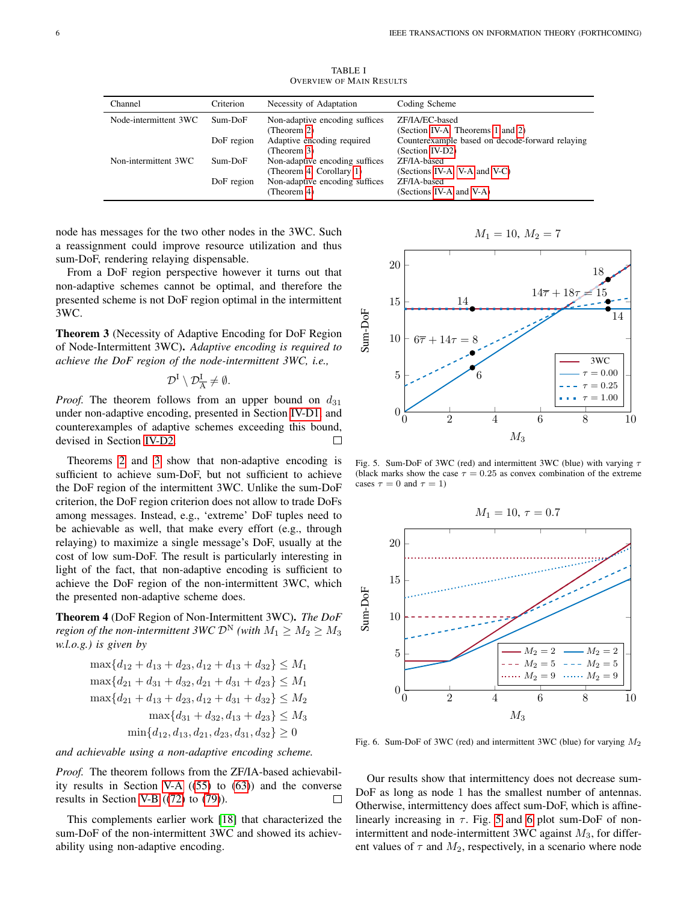TABLE I OVERVIEW OF MAIN RESULTS

<span id="page-5-0"></span>

| Channel               | Criterion  | Necessity of Adaptation                                    | Coding Scheme                                                      |
|-----------------------|------------|------------------------------------------------------------|--------------------------------------------------------------------|
| Node-intermittent 3WC | Sum-DoF    | Non-adaptive encoding suffices<br>(Theorem 2)              | ZF/IA/EC-based<br>(Section IV-A, Theorems 1 and 2)                 |
|                       | DoF region | Adaptive encoding required<br>(Theorem 3)                  | Counterexample based on decode-forward relaying<br>(Section IV-D2) |
| Non-intermittent 3WC  | Sum-DoF    | Non-adaptive encoding suffices<br>(Theorem 4, Corollary 1) | ZF/IA-based<br>(Sections IV-A, V-A and V-C)                        |
|                       | DoF region | Non-adaptive encoding suffices<br>(Theorem 4)              | ZF/IA-based<br>(Sections IV-A and V-A)                             |

node has messages for the two other nodes in the 3WC. Such a reassignment could improve resource utilization and thus sum-DoF, rendering relaying dispensable.

From a DoF region perspective however it turns out that non-adaptive schemes cannot be optimal, and therefore the presented scheme is not DoF region optimal in the intermittent 3WC.

<span id="page-5-1"></span>Theorem 3 (Necessity of Adaptive Encoding for DoF Region of Node-Intermittent 3WC). *Adaptive encoding is required to achieve the DoF region of the node-intermittent 3WC, i.e.,*

$$
\mathcal{D}^{\mathrm{I}}\setminus\mathcal{D}^{\mathrm{I}}_{\overline{\mathrm{A}}}\neq\emptyset.
$$

*Proof.* The theorem follows from an upper bound on  $d_{31}$ under non-adaptive encoding, presented in Section [IV-D1,](#page-14-1) and counterexamples of adaptive schemes exceeding this bound, devised in Section [IV-D2.](#page-15-1)  $\Box$ 

Theorems [2](#page-4-2) and [3](#page-5-1) show that non-adaptive encoding is sufficient to achieve sum-DoF, but not sufficient to achieve the DoF region of the intermittent 3WC. Unlike the sum-DoF criterion, the DoF region criterion does not allow to trade DoFs among messages. Instead, e.g., 'extreme' DoF tuples need to be achievable as well, that make every effort (e.g., through relaying) to maximize a single message's DoF, usually at the cost of low sum-DoF. The result is particularly interesting in light of the fact, that non-adaptive encoding is sufficient to achieve the DoF region of the non-intermittent 3WC, which the presented non-adaptive scheme does.

<span id="page-5-2"></span>Theorem 4 (DoF Region of Non-Intermittent 3WC). *The DoF region of the non-intermittent 3WC*  $\mathcal{D}^N$  *(with*  $M_1 \geq M_2 \geq M_3$ ) *w.l.o.g.) is given by*

$$
\max\{d_{12} + d_{13} + d_{23}, d_{12} + d_{13} + d_{32}\} \le M_1
$$
  
\n
$$
\max\{d_{21} + d_{31} + d_{32}, d_{21} + d_{31} + d_{23}\} \le M_1
$$
  
\n
$$
\max\{d_{21} + d_{13} + d_{23}, d_{12} + d_{31} + d_{32}\} \le M_2
$$
  
\n
$$
\max\{d_{31} + d_{32}, d_{13} + d_{23}\} \le M_3
$$
  
\n
$$
\min\{d_{12}, d_{13}, d_{21}, d_{23}, d_{31}, d_{32}\} \ge 0
$$

*and achievable using a non-adaptive encoding scheme.*

*Proof.* The theorem follows from the ZF/IA-based achievabil-ity results in Section [V-A](#page-15-2)  $((55)$  $((55)$  to  $(63)$ ) and the converse results in Section [V-B](#page-15-5) ([\(72\)](#page-15-6) to [\(79\)](#page-16-3)).  $\Box$ 

This complements earlier work [\[18\]](#page-18-11) that characterized the sum-DoF of the non-intermittent 3WC and showed its achievability using non-adaptive encoding.

 $M_1 = 10, M_2 = 7$ 



<span id="page-5-3"></span>Fig. 5. Sum-DoF of 3WC (red) and intermittent 3WC (blue) with varying  $\tau$ (black marks show the case  $\tau = 0.25$  as convex combination of the extreme cases  $\tau = 0$  and  $\tau = 1$ )



<span id="page-5-4"></span>Fig. 6. Sum-DoF of 3WC (red) and intermittent 3WC (blue) for varying  $M_2$ 

Our results show that intermittency does not decrease sum-DoF as long as node 1 has the smallest number of antennas. Otherwise, intermittency does affect sum-DoF, which is affinelinearly increasing in  $\tau$ . Fig. [5](#page-5-3) and [6](#page-5-4) plot sum-DoF of nonintermittent and node-intermittent 3WC against  $M_3$ , for different values of  $\tau$  and  $M_2$ , respectively, in a scenario where node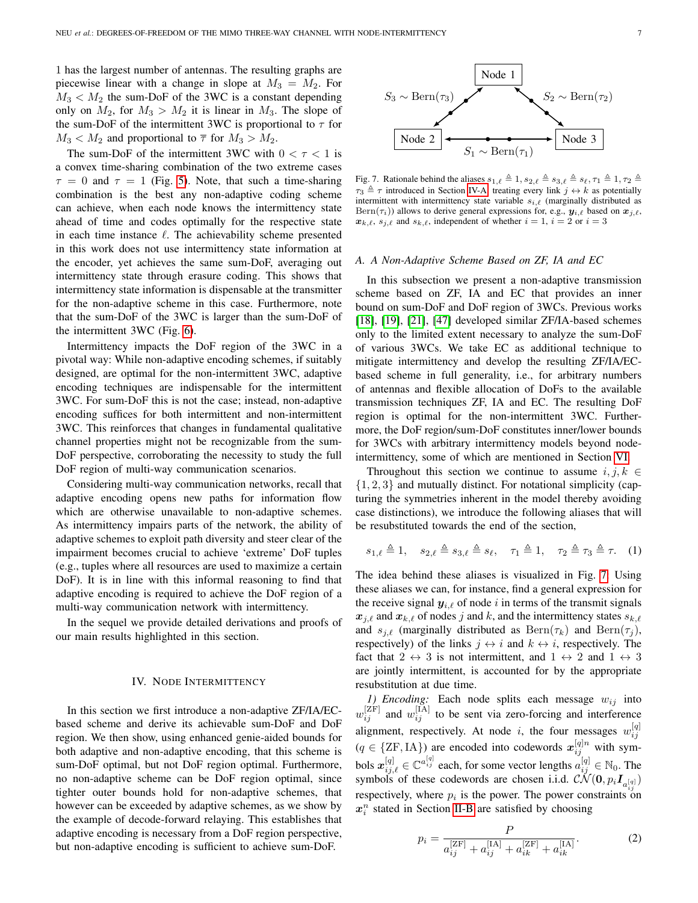1 has the largest number of antennas. The resulting graphs are piecewise linear with a change in slope at  $M_3 = M_2$ . For  $M_3 < M_2$  the sum-DoF of the 3WC is a constant depending only on  $M_2$ , for  $M_3 > M_2$  it is linear in  $M_3$ . The slope of the sum-DoF of the intermittent 3WC is proportional to  $\tau$  for  $M_3 < M_2$  and proportional to  $\overline{\tau}$  for  $M_3 > M_2$ .

The sum-DoF of the intermittent 3WC with  $0 < \tau < 1$  is a convex time-sharing combination of the two extreme cases  $\tau = 0$  and  $\tau = 1$  (Fig. [5\)](#page-5-3). Note, that such a time-sharing combination is the best any non-adaptive coding scheme can achieve, when each node knows the intermittency state ahead of time and codes optimally for the respective state in each time instance  $\ell$ . The achievability scheme presented in this work does not use intermittency state information at the encoder, yet achieves the same sum-DoF, averaging out intermittency state through erasure coding. This shows that intermittency state information is dispensable at the transmitter for the non-adaptive scheme in this case. Furthermore, note that the sum-DoF of the 3WC is larger than the sum-DoF of the intermittent 3WC (Fig. [6\)](#page-5-4).

Intermittency impacts the DoF region of the 3WC in a pivotal way: While non-adaptive encoding schemes, if suitably designed, are optimal for the non-intermittent 3WC, adaptive encoding techniques are indispensable for the intermittent 3WC. For sum-DoF this is not the case; instead, non-adaptive encoding suffices for both intermittent and non-intermittent 3WC. This reinforces that changes in fundamental qualitative channel properties might not be recognizable from the sum-DoF perspective, corroborating the necessity to study the full DoF region of multi-way communication scenarios.

Considering multi-way communication networks, recall that adaptive encoding opens new paths for information flow which are otherwise unavailable to non-adaptive schemes. As intermittency impairs parts of the network, the ability of adaptive schemes to exploit path diversity and steer clear of the impairment becomes crucial to achieve 'extreme' DoF tuples (e.g., tuples where all resources are used to maximize a certain DoF). It is in line with this informal reasoning to find that adaptive encoding is required to achieve the DoF region of a multi-way communication network with intermittency.

In the sequel we provide detailed derivations and proofs of our main results highlighted in this section.

#### IV. NODE INTERMITTENCY

<span id="page-6-0"></span>In this section we first introduce a non-adaptive ZF/IA/ECbased scheme and derive its achievable sum-DoF and DoF region. We then show, using enhanced genie-aided bounds for both adaptive and non-adaptive encoding, that this scheme is sum-DoF optimal, but not DoF region optimal. Furthermore, no non-adaptive scheme can be DoF region optimal, since tighter outer bounds hold for non-adaptive schemes, that however can be exceeded by adaptive schemes, as we show by the example of decode-forward relaying. This establishes that adaptive encoding is necessary from a DoF region perspective, but non-adaptive encoding is sufficient to achieve sum-DoF.



<span id="page-6-2"></span>Fig. 7. Rationale behind the aliases  $s_{1,\ell} \triangleq 1, s_{2,\ell} \triangleq s_{3,\ell} \triangleq s_{\ell}, \tau_1 \triangleq 1, \tau_2 \triangleq$  $\tau_3 \triangleq \tau$  introduced in Section [IV-A:](#page-6-1) treating every link  $j \leftrightarrow k$  as potentially intermittent with intermittency state variable  $s_{i,\ell}$  (marginally distributed as  $\text{Bern}(\tau_i)$ ) allows to derive general expressions for, e.g.,  $y_{i,\ell}$  based on  $x_{j,\ell}$ ,  $x_{k,\ell}$ ,  $s_{i,\ell}$  and  $s_{k,\ell}$ , independent of whether  $i = 1$ ,  $i = 2$  or  $i = 3$ 

#### <span id="page-6-1"></span>*A. A Non-Adaptive Scheme Based on ZF, IA and EC*

In this subsection we present a non-adaptive transmission scheme based on ZF, IA and EC that provides an inner bound on sum-DoF and DoF region of 3WCs. Previous works [\[18\]](#page-18-11), [\[19\]](#page-18-28), [\[21\]](#page-18-29), [\[47\]](#page-19-1) developed similar ZF/IA-based schemes only to the limited extent necessary to analyze the sum-DoF of various 3WCs. We take EC as additional technique to mitigate intermittency and develop the resulting ZF/IA/ECbased scheme in full generality, i.e., for arbitrary numbers of antennas and flexible allocation of DoFs to the available transmission techniques ZF, IA and EC. The resulting DoF region is optimal for the non-intermittent 3WC. Furthermore, the DoF region/sum-DoF constitutes inner/lower bounds for 3WCs with arbitrary intermittency models beyond nodeintermittency, some of which are mentioned in Section [VI.](#page-16-0)

Throughout this section we continue to assume  $i, j, k \in$  $\{1, 2, 3\}$  and mutually distinct. For notational simplicity (capturing the symmetries inherent in the model thereby avoiding case distinctions), we introduce the following aliases that will be resubstituted towards the end of the section,

<span id="page-6-4"></span>
$$
s_{1,\ell} \triangleq 1, \quad s_{2,\ell} \triangleq s_{3,\ell} \triangleq s_{\ell}, \quad \tau_1 \triangleq 1, \quad \tau_2 \triangleq \tau_3 \triangleq \tau. \quad (1)
$$

The idea behind these aliases is visualized in Fig. [7:](#page-6-2) Using these aliases we can, for instance, find a general expression for the receive signal  $y_{i,\ell}$  of node i in terms of the transmit signals  $x_{j,\ell}$  and  $x_{k,\ell}$  of nodes j and k, and the intermittency states  $s_{k,\ell}$ and  $s_{j,\ell}$  (marginally distributed as  $\text{Bern}(\tau_k)$  and  $\text{Bern}(\tau_j)$ , respectively) of the links  $j \leftrightarrow i$  and  $k \leftrightarrow i$ , respectively. The fact that  $2 \leftrightarrow 3$  is not intermittent, and  $1 \leftrightarrow 2$  and  $1 \leftrightarrow 3$ are jointly intermittent, is accounted for by the appropriate resubstitution at due time.

1) Encoding: Each node splits each message  $w_{ij}$  into  $w_{ij}^{[ZF]}$  and  $w_{ij}^{[IA]}$  to be sent via zero-forcing and interference alignment, respectively. At node i, the four messages  $w_{ij}^{[q]}$  $(q \in \{ZF,IA\})$  are encoded into codewords  $x_{ij}^{[q]n}$  with symbols  $x_{ij,\ell}^{[q]} \in \mathbb{C}^{a_{ij}^{[q]}}$  each, for some vector lengths  $a_{ij}^{[q]} \in \mathbb{N}_0$ . The symbols of these codewords are chosen i.i.d.  $\mathcal{CN}(\mathbf{0}, p_i \mathbf{I}_{a_{ij}^{[q]}})$ respectively, where  $p_i$  is the power. The power constraints on  $x_i^n$  stated in Section [II-B](#page-3-0) are satisfied by choosing

<span id="page-6-3"></span>
$$
p_i = \frac{P}{a_{ij}^{\text{[ZF]}} + a_{ij}^{\text{[IA]}} + a_{ik}^{\text{[ZF]}} + a_{ik}^{\text{[IA]}}. \tag{2}
$$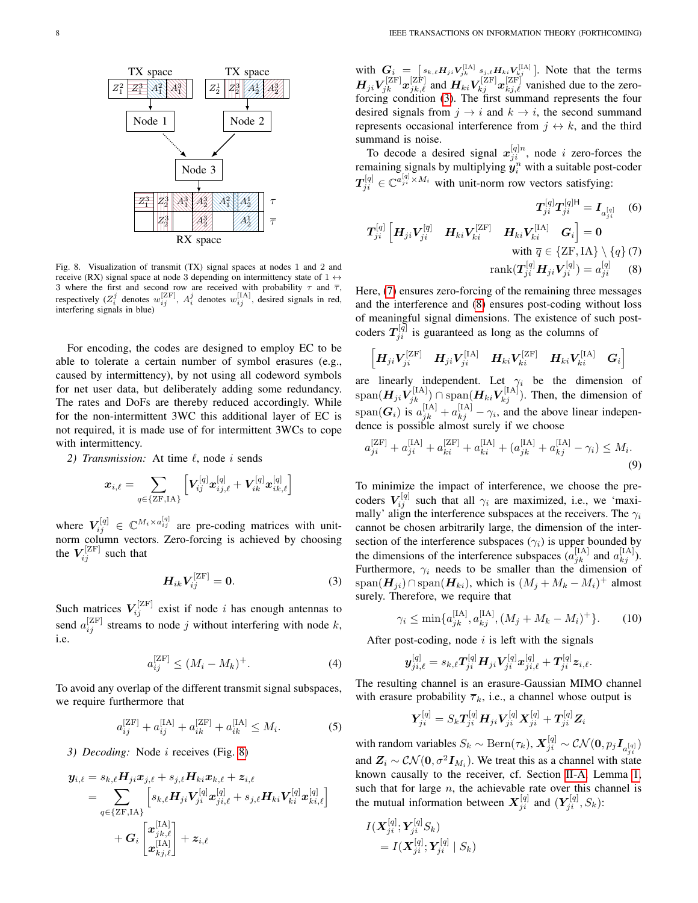

<span id="page-7-0"></span>Fig. 8. Visualization of transmit (TX) signal spaces at nodes 1 and 2 and receive (RX) signal space at node 3 depending on intermittency state of  $1 \leftrightarrow$ 3 where the first and second row are received with probability  $\tau$  and  $\overline{\tau}$ , respectively ( $Z_i^j$  denotes  $w_{ij}^{[ZF]}$ ,  $A_i^j$  denotes  $w_{ij}^{[IA]}$ , desired signals in red, interfering signals in blue)

For encoding, the codes are designed to employ EC to be able to tolerate a certain number of symbol erasures (e.g., caused by intermittency), by not using all codeword symbols for net user data, but deliberately adding some redundancy. The rates and DoFs are thereby reduced accordingly. While for the non-intermittent 3WC this additional layer of EC is not required, it is made use of for intermittent 3WCs to cope with intermittency.

2) Transmission: At time  $\ell$ , node i sends

$$
\boldsymbol{x}_{i,\ell} = \sum_{q\in\{\text{ZF},\text{IA}\}} \left[ \boldsymbol{V}_{ij}^{[q]} \boldsymbol{x}_{ij,\ell}^{[q]} + \boldsymbol{V}_{ik}^{[q]} \boldsymbol{x}_{ik,\ell}^{[q]}\right]
$$

where  $V_{ij}^{[q]} \in \mathbb{C}^{M_i \times a_{ij}^{[q]}}$  are pre-coding matrices with unitnorm column vectors. Zero-forcing is achieved by choosing the  $V_{ij}^{[ZF]}$  such that

$$
H_{ik}V_{ij}^{[ZF]}=0.\t\t(3)
$$

Such matrices  $V_{ij}^{[ZF]}$  exist if node i has enough antennas to send  $a_{ij}^{[ZF]}$  streams to node j without interfering with node k, i.e.

$$
a_{ij}^{[ZF]} \le (M_i - M_k)^{+}.
$$
 (4)

To avoid any overlap of the different transmit signal subspaces, we require furthermore that

$$
a_{ij}^{\text{[ZF]}} + a_{ij}^{\text{[IA]}} + a_{ik}^{\text{[ZF]}} + a_{ik}^{\text{[IA]}} \le M_i.
$$
 (5)

*3) Decoding:* Node i receives (Fig. [8\)](#page-7-0)

$$
\begin{aligned} \bm{y}_{i,\ell} &= s_{k,\ell} \bm{H}_{ji} \bm{x}_{j,\ell} + s_{j,\ell} \bm{H}_{ki} \bm{x}_{k,\ell} + \bm{z}_{i,\ell} \\ &= \sum_{q \in \{ \text{ZF}, \text{IA} \}} \left[ s_{k,\ell} \bm{H}_{ji} \bm{V}_{ji}^{[q]} \bm{x}_{ji,\ell}^{[q]} + s_{j,\ell} \bm{H}_{ki} \bm{V}_{ki}^{[q]} \bm{x}_{ki,\ell}^{[q]} \right] \\ &+ \bm{G}_i \left[ \bm{x}_{j,k,\ell}^{[\text{IA}]} \right] + \bm{z}_{i,\ell} \end{aligned}
$$

with  $G_i = [s_{k,\ell} H_{ji} V_{jk}^{\text{[IA]}} s_{j,\ell} H_{ki} V_{kj}^{\text{[IA]}}]$ . Note that the terms  $H_{ji}V_{jk}^{[ZF]}x_{jk,\ell}^{[ZF]}$  and  $H_{ki}V_{kj}^{[ZF]}x_{kj,\ell}^{[ZF]}$  vanished due to the zeroforcing condition [\(3\)](#page-7-1). The first summand represents the four desired signals from  $j \rightarrow i$  and  $k \rightarrow i$ , the second summand represents occasional interference from  $j \leftrightarrow k$ , and the third summand is noise.

To decode a desired signal  $x_{ji}^{[q]n}$ , node i zero-forces the remaining signals by multiplying  $\hat{\mathbf{y}}_i^n$  with a suitable post-coder  $T_{ji}^{[q]} \in \mathbb{C}^{a_{ji}^{[q]} \times M_i}$  with unit-norm row vectors satisfying:

<span id="page-7-3"></span><span id="page-7-2"></span>
$$
T_{ji}^{[q]}T_{ji}^{[q]\mathsf{H}} = I_{a_{ji}^{[q]}} \quad (6)
$$
\n
$$
T_{ji}^{[q]} \left[ H_{ji} V_{ji}^{[{\overline{q}}]} \quad H_{ki} V_{ki}^{[2F]} \quad H_{ki} V_{ki}^{[1A]} \quad G_i \right] = 0
$$
\nwith  $\bar{q} \in \{ \text{ZF}, \text{IA} \} \setminus \{ q \} \quad (7)$ \n
$$
\text{rank}(T_{ji}^{[q]} H_{ji} V_{ji}^{[q]}) = a_{ji}^{[q]} \quad (8)
$$

Here, [\(7\)](#page-7-2) ensures zero-forcing of the remaining three messages and the interference and [\(8\)](#page-7-3) ensures post-coding without loss of meaningful signal dimensions. The existence of such postcoders  $T_{ji}^{[\bar{q}]}$  is guaranteed as long as the columns of

$$
\begin{bmatrix} \boldsymbol{H}_{ji}\boldsymbol{V}_{ji}^{[\text{ZF}]} & \boldsymbol{H}_{ji}\boldsymbol{V}_{ji}^{[\text{IA}]} & \boldsymbol{H}_{ki}\boldsymbol{V}_{ki}^{[\text{ZF}]} & \boldsymbol{H}_{ki}\boldsymbol{V}_{ki}^{[\text{IA}]} & \boldsymbol{G}_{i} \end{bmatrix}
$$

are linearly independent. Let  $\gamma_i$  be the dimension of  $\mathrm{span}(\mathbf{H}_{ji}\hat{\mathbf{V}}_{jk}^{[\text{IA}]})\cap \mathrm{span}(\mathbf{H}_{ki}\hat{\mathbf{V}}_{kj}^{[\text{IA}]})$ . Then, the dimension of  $\text{span}(\bm{G}_i)$  is  $a_{jk}^{[\text{IA}]} + a_{kj}^{[\text{IA}]} - \gamma_i$ , and the above linear independence is possible almost surely if we choose

<span id="page-7-6"></span>
$$
a_{ji}^{[ZF]} + a_{ji}^{[IA]} + a_{ki}^{[ZF]} + a_{ki}^{[IA]} + (a_{jk}^{[IA]} + a_{kj}^{[IA]} - \gamma_i) \le M_i.
$$
\n(9)

To minimize the impact of interference, we choose the precoders  $V_{ij}^{[q]}$  such that all  $\gamma_i$  are maximized, i.e., we 'maximally' align the interference subspaces at the receivers. The  $\gamma_i$ cannot be chosen arbitrarily large, the dimension of the intersection of the interference subspaces ( $\gamma_i$ ) is upper bounded by the dimensions of the interference subspaces  $(a_{jk}^{\text{[IA]}})$  and  $a_{kj}^{\text{[IA]}}$ . Furthermore,  $\gamma_i$  needs to be smaller than the dimension of span $(H_{ji}) \cap \text{span}(H_{ki})$ , which is  $(M_j + M_k - M_i)^+$  almost surely. Therefore, we require that

$$
\gamma_i \le \min\{a_{jk}^{[\text{IA}]}, a_{kj}^{[\text{IA}]}, (M_j + M_k - M_i)^+\}.
$$
 (10)

<span id="page-7-1"></span>After post-coding, node  $i$  is left with the signals

<span id="page-7-7"></span>
$$
\bm{y}^{[q]}_{ji,\ell}=s_{k,\ell}\bm{T}^{[q]}_{ji}\bm{H}_{ji}\bm{V}^{[q]}_{ji}\bm{x}^{[q]}_{ji,\ell}+\bm{T}^{[q]}_{ji}\bm{z}_{i,\ell}.
$$

<span id="page-7-4"></span>The resulting channel is an erasure-Gaussian MIMO channel with erasure probability  $\overline{\tau}_k$ , i.e., a channel whose output is

$$
\boldsymbol{Y}^{[q]}_{ji} = S_k \boldsymbol{T}^{[q]}_{ji} \boldsymbol{H}_{ji} \boldsymbol{V}^{[q]}_{ji} \boldsymbol{X}^{[q]}_{ji} + \boldsymbol{T}^{[q]}_{ji} \boldsymbol{Z}_i
$$

<span id="page-7-5"></span>with random variables  $S_k \sim \text{Bern}(\tau_k)$ ,  $\bm{X}_{ji}^{[q]} \sim \mathcal{CN}(\bm{0}, p_j \bm{I}_{a_{ji}^{[q]}})$ and  $\mathbf{Z}_i \sim \mathcal{CN}(\mathbf{0}, \sigma^2 \mathbf{I}_{M_i})$ . We treat this as a channel with state known causally to the receiver, cf. Section [II-A,](#page-2-0) Lemma [1,](#page-2-3) such that for large  $n$ , the achievable rate over this channel is the mutual information between  $X_{ji}^{[q]}$  and  $(Y_{ji}^{[q]}, S_k)$ :

$$
\begin{aligned} I(\bm{X}_{ji}^{[q]}; \bm{Y}_{ji}^{[q]}S_k) \\ = I(\bm{X}_{ji}^{[q]}; \bm{Y}_{ji}^{[q]} \mid S_k) \end{aligned}
$$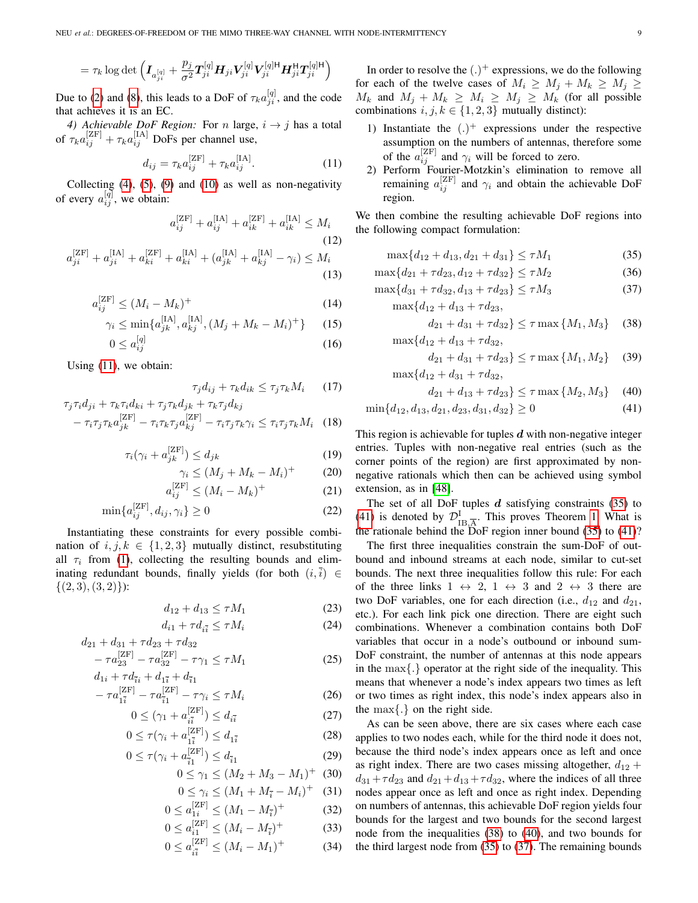$$
= \tau_k \log \det \Big(\boldsymbol I_{a_{ji}^{[q]}} + \frac{p_j}{\sigma^2} \boldsymbol T_{ji}^{[q]} \boldsymbol H_{ji} \boldsymbol V_{ji}^{[q]}\boldsymbol V_{ji}^{[q]\mathsf{H}} \boldsymbol H_{ji}^\mathsf{H} \boldsymbol T_{ji}^{[q]\mathsf{H}} \Big)
$$

Due to [\(2\)](#page-6-3) and [\(8\)](#page-7-3), this leads to a DoF of  $\tau_k a_{ji}^{[q]}$ , and the code that achieves it is an EC.

*4) Achievable DoF Region:* For *n* large,  $i \rightarrow j$  has a total of  $\tau_k a_{ij}^{[\text{ZF}]} + \tau_k a_{ij}^{[\text{IA}]}$  DoFs per channel use,

$$
d_{ij} = \tau_k a_{ij}^{\text{[ZF]}} + \tau_k a_{ij}^{\text{[IA]}}.
$$
 (11)

Collecting  $(4)$ ,  $(5)$ ,  $(9)$  and  $(10)$  as well as non-negativity of every  $a_{ij}^{[q]}$ , we obtain:

$$
a_{ij}^{[ZF]} + a_{ij}^{[IA]} + a_{ik}^{[ZF]} + a_{ik}^{[IA]} \le M_i
$$
\n
$$
+ a_{ik}^{[IA]} + a_{ik}^{[IR]} + a_{ik}^{[IA]} + a_{ik}^{[IA]} + a_{ik}^{[IA]} + a_{ik}^{[IA]} + a_{ik}^{[IA]} + a_{ik}^{[IA]} + a_{ik}^{[IA]} + a_{ik}^{[IA]} + a_{ik}^{[IA]} + a_{ik}^{[IA]} + a_{ik}^{[IA]} + a_{ik}^{[IA]} + a_{ik}^{[IA]} + a_{ik}^{[IA]} + a_{ik}^{[IA]} + a_{ik}^{[IA]} + a_{ik}^{[IA]} + a_{ik}^{[IA]} + a_{ik}^{[IA]} + a_{ik}^{[IA]} + a_{ik}^{[IA]} + a_{ik}^{[IA]} + a_{ik}^{[IA]} + a_{ik}^{[IA]} + a_{ik}^{[IA]} + a_{ik}^{[IA]} + a_{ik}^{[IA]} + a_{ik}^{[IA]} + a_{ik}^{[IA]} + a_{ik}^{[IA]} + a_{ik}^{[IA]} + a_{ik}^{[IA]} + a_{ik}^{[IA]} + a_{ik}^{[IA]} + a_{ik}^{[IA]} + a_{ik}^{[IA]} + a_{ik}^{[IA]} + a_{ik}^{[IA]} + a_{ik}^{[IA]} + a_{ik}^{[IA]} + a_{ik}^{[IA]} + a_{ik}^{[IA]} + a_{ik}^{[IA]} + a_{ik}^{[IA]} + a_{ik}^{[IA]} + a_{ik}^{[IA]} + a_{ik}^{[IA]} + a_{ik}^{[IA]} + a_{ik}^{[IA]} + a_{ik}^{[IA]} + a_{ik}^{[IA]} + a_{ik}^{[IA]} + a_{ik}^{[IA]} + a_{ik}^{[IA]} + a_{ik}^{[IA]} + a_{ik}^{[IA]} + a_{ik}^{[IA]} + a_{ik}^{[IA]} + a_{ik}^{[IA]} + a_{ik}^{[IA]} + a_{ik}^{[IA]} + a_{ik}^{[IA]} + a_{ik}^{[IA]} + a_{ik}^{[IA]} + a_{ik}^{[IA]} + a_{ik}^{[IA]} + a_{ik}^{[IA]} + a_{ik}^{[IA]} + a_{ik}^{[IA]} + a_{ik}^{[IA]} + a_{ik}^{[IA]} + a_{ik}^{[IA]} + a_{ik}^{[IA]} + a_{ik}^{[IA]} + a_{ik}^{[IA]} + a_{ik}^{[IA]} + a_{ik}^{[IA
$$

$$
a_{ji}^{[ZF]} + a_{ji}^{[IA]} + a_{ki}^{[ZF]} + a_{ki}^{[IA]} + (a_{jk}^{[IA]} + a_{kj}^{[IA]} - \gamma_i) \le M_i
$$
\n(13)

$$
a_{ij}^{\left[\text{ZF}\right]} \le (M_i - M_k)^{+} \tag{14}
$$

$$
\gamma_i \le \min\{a_{jk}^{[IA]}, a_{kj}^{[IA]}, (M_j + M_k - M_i)^+\} \tag{15}
$$

$$
0 \le a_{ij}^{[q]} \tag{16}
$$

Using [\(11\)](#page-8-0), we obtain:

$$
\tau_j d_{ij} + \tau_k d_{ik} \le \tau_j \tau_k M_i \qquad (17)
$$

$$
\tau_j \tau_i d_{ji} + \tau_k \tau_i d_{ki} + \tau_j \tau_k d_{jk} + \tau_k \tau_j d_{kj} \n- \tau_i \tau_j \tau_k a_{jk}^{[ZF]} - \tau_i \tau_k \tau_j a_{kj}^{[ZF]} - \tau_i \tau_j \tau_k \gamma_i \leq \tau_i \tau_j \tau_k M_i
$$
\n(18)

$$
\tau_i(\gamma_i + a_{jk}^{[\text{ZF}]}) \le d_{jk} \tag{19}
$$

$$
\gamma_i \le (M_j + M_k - M_i)^+ \tag{20}
$$

$$
a_{ij}^{\left[\text{ZF}\right]} \le \left(M_i - M_k\right)^{+} \tag{21}
$$

$$
\min\{a_{ij}^{\left[\text{ZF}\right]}, d_{ij}, \gamma_i\} \ge 0\tag{22}
$$

Instantiating these constraints for every possible combination of  $i, j, k \in \{1, 2, 3\}$  mutually distinct, resubstituting all  $\tau_i$  from [\(1\)](#page-6-4), collecting the resulting bounds and eliminating redundant bounds, finally yields (for both  $(i, \overline{i}) \in$  $\{(2,3), (3,2)\}\:$ 

$$
d_{12} + d_{13} \le \tau M_1 \tag{23}
$$

$$
d_{i1} + \tau d_{i\bar{i}} \le \tau M_i \tag{24}
$$

$$
d_{21} + d_{31} + \tau d_{23} + \tau d_{32}
$$
  
-  $\tau a_{23}^{[ZF]} - \tau a_{32}^{[ZF]} - \tau \gamma_1 \le \tau M_1$  (25)

$$
d_{1i} + \tau d_{\bar{i}i} + d_{1\bar{i}} + d_{\bar{i}1} - \tau a_{1\bar{i}}^{[ZF]} - \tau a_{\bar{i}1}^{[ZF]} - \tau \gamma_i \le \tau M_i
$$
 (26)

$$
0 \le (\gamma_1 + a_{i\bar{i}}^{[ZF]}) \le d_{i\bar{i}} \tag{27}
$$
\n
$$
0 \le f(x) + a_{i\bar{i}}^{[ZF]}) \le d \tag{28}
$$

$$
0 \le \tau(\gamma_i + a_{1\bar{i}}^{[2F]}) \le d_{1\bar{i}} \tag{28}
$$

$$
0 \le \tau(\gamma_i + a_{\bar{i}1}^{[L^{\text{F}}]}) \le d_{\bar{i}1}
$$
\n
$$
0 \le \gamma_1 \le (M_2 + M_3 - M_1)^{+}
$$
\n(29)\n(29)

$$
0 \le \gamma_1 \le (M_2 + M_3 - M_1)^{+} \quad (30)
$$
  

$$
0 \le \gamma_i \le (M_1 + M_{\overline{i}} - M_i)^{+} \quad (31)
$$

$$
0 \le a_{1i}^{\text{[ZF]}} \le (M_1 - M_{\overline{i}})^{+}
$$
 (32)

$$
0 \le a_{i1}^{[ZF]} \le (M_i - M_{\overline{i}})^{+}
$$
 (33)

$$
0 \le a_{i\bar{i}}^{[ZF]} \le (M_i - M_1)^{+}
$$
 (34)

In order to resolve the  $(.)^+$  expressions, we do the following for each of the twelve cases of  $M_i \geq M_j + M_k \geq M_j \geq$  $M_k$  and  $M_j + M_k \geq M_i \geq M_j \geq M_k$  (for all possible combinations  $i, j, k \in \{1, 2, 3\}$  mutually distinct):

- 1) Instantiate the  $(.)^+$  expressions under the respective assumption on the numbers of antennas, therefore some of the  $a_{ij}^{[ZF]}$  and  $\gamma_i$  will be forced to zero.
- <span id="page-8-0"></span>2) Perform Fourier-Motzkin's elimination to remove all remaining  $a_{ij}^{[ZF]}$  and  $\gamma_i$  and obtain the achievable DoF region

We then combine the resulting achievable DoF regions into the following compact formulation:

$$
\max\{d_{12} + d_{13}, d_{21} + d_{31}\} \le \tau M_1 \tag{35}
$$

$$
\max\{d_{21} + \tau d_{23}, d_{12} + \tau d_{32}\} \le \tau M_2 \tag{36}
$$

$$
\max\{d_{31} + \tau d_{32}, d_{13} + \tau d_{23}\} \le \tau M_3 \tag{37}
$$

$$
\max\{d_{12} + d_{13} + \tau d_{23},
$$
  
\n
$$
d_{21} + d_{31} + \tau d_{32}\} \le \tau \max\{M_1, M_3\}
$$
 (38)

$$
\max\{d_{12} + d_{13} + \tau d_{32},
$$

<span id="page-8-5"></span><span id="page-8-4"></span><span id="page-8-3"></span><span id="page-8-2"></span><span id="page-8-1"></span>
$$
d_{21} + d_{31} + \tau d_{23} \} \le \tau \max \{ M_1, M_2 \} \quad (39)
$$

$$
\max\{d_{12}+d_{31}+\tau d_{32},
$$

$$
d_{21} + d_{13} + \tau d_{23} \} \le \tau \max \{ M_2, M_3 \} \tag{40}
$$

$$
\min\{d_{12}, d_{13}, d_{21}, d_{23}, d_{31}, d_{32}\} \ge 0\tag{41}
$$

This region is achievable for tuples  $d$  with non-negative integer entries. Tuples with non-negative real entries (such as the corner points of the region) are first approximated by nonnegative rationals which then can be achieved using symbol extension, as in [\[48\]](#page-19-2).

The set of all DoF tuples  $d$  satisfying constraints [\(35\)](#page-8-1) to [\(41\)](#page-8-2) is denoted by  $\mathcal{D}_{\text{IB},\overline{\text{A}}}^{\text{I}}$ . This proves Theorem [1.](#page-4-3) What is the rationale behind the DoF region inner bound [\(35\)](#page-8-1) to [\(41\)](#page-8-2)?

<span id="page-8-6"></span>The first three inequalities constrain the sum-DoF of outbound and inbound streams at each node, similar to cut-set bounds. The next three inequalities follow this rule: For each of the three links  $1 \leftrightarrow 2$ ,  $1 \leftrightarrow 3$  and  $2 \leftrightarrow 3$  there are two DoF variables, one for each direction (i.e.,  $d_{12}$  and  $d_{21}$ , etc.). For each link pick one direction. There are eight such combinations. Whenever a combination contains both DoF variables that occur in a node's outbound or inbound sum-DoF constraint, the number of antennas at this node appears in the  $\max\{.\}$  operator at the right side of the inequality. This means that whenever a node's index appears two times as left or two times as right index, this node's index appears also in the  $\max\{.\}$  on the right side.

<span id="page-8-7"></span>As can be seen above, there are six cases where each case applies to two nodes each, while for the third node it does not, because the third node's index appears once as left and once as right index. There are two cases missing altogether,  $d_{12}$  +  $d_{31}+\tau d_{23}$  and  $d_{21}+d_{13}+\tau d_{32}$ , where the indices of all three nodes appear once as left and once as right index. Depending on numbers of antennas, this achievable DoF region yields four bounds for the largest and two bounds for the second largest node from the inequalities [\(38\)](#page-8-3) to [\(40\)](#page-8-4), and two bounds for the third largest node from [\(35\)](#page-8-1) to [\(37\)](#page-8-5). The remaining bounds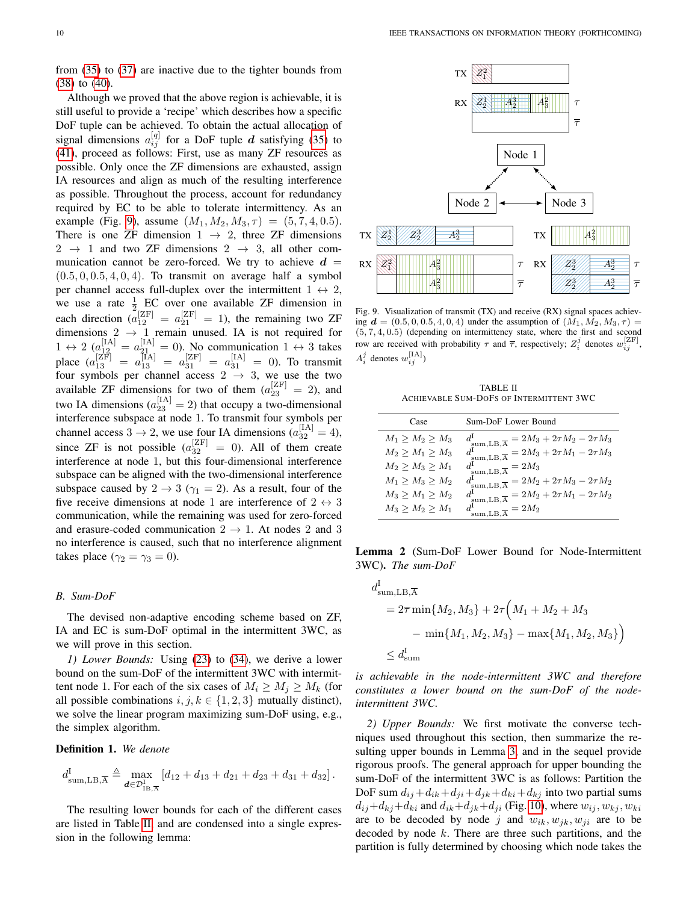from [\(35\)](#page-8-1) to [\(37\)](#page-8-5) are inactive due to the tighter bounds from [\(38\)](#page-8-3) to [\(40\)](#page-8-4).

Although we proved that the above region is achievable, it is still useful to provide a 'recipe' which describes how a specific DoF tuple can be achieved. To obtain the actual allocation of signal dimensions  $a_{ij}^{[q]}$  for a DoF tuple d satisfying [\(35\)](#page-8-1) to [\(41\)](#page-8-2), proceed as follows: First, use as many ZF resources as possible. Only once the ZF dimensions are exhausted, assign IA resources and align as much of the resulting interference as possible. Throughout the process, account for redundancy required by EC to be able to tolerate intermittency. As an example (Fig. [9\)](#page-9-3), assume  $(M_1, M_2, M_3, \tau) = (5, 7, 4, 0.5)$ . There is one ZF dimension  $1 \rightarrow 2$ , three ZF dimensions  $2 \rightarrow 1$  and two ZF dimensions  $2 \rightarrow 3$ , all other communication cannot be zero-forced. We try to achieve  $d =$  $(0.5, 0, 0.5, 4, 0, 4)$ . To transmit on average half a symbol per channel access full-duplex over the intermittent  $1 \leftrightarrow 2$ , we use a rate  $\frac{1}{2}$  EC over one available ZF dimension in 2 each direction  $\overline{a}_{12}^{[ZF]} = a_{21}^{[ZF]} = 1$ , the remaining two ZF dimensions  $2 \rightarrow 1$  remain unused. IA is not required for  $1 \leftrightarrow 2 \left( \frac{[IA]}{12} \right) = a_{21}^{[IA]} = 0$ ). No communication  $1 \leftrightarrow 3$  takes place  $(a_{13}^{[\rm ZF]} = a_{13}^{[\rm IA]} = a_{31}^{[\rm ZF]} = a_{31}^{[\rm IA]} = 0$ ). To transmit four symbols per channel access  $2 \rightarrow 3$ , we use the two available ZF dimensions for two of them  $(a_{23}^{ZF}] = 2$ ), and two IA dimensions  $(a_{23}^{\text{[IA]}} = 2)$  that occupy a two-dimensional interference subspace at node 1. To transmit four symbols per channel access  $3 \rightarrow 2$ , we use four IA dimensions  $(a_{32}^{\text{[IA]}} = 4)$ , since ZF is not possible  $(a_{32}^{[ZF]}=0)$ . All of them create interference at node 1, but this four-dimensional interference subspace can be aligned with the two-dimensional interference subspace caused by  $2 \rightarrow 3 \ (\gamma_1 = 2)$ . As a result, four of the five receive dimensions at node 1 are interference of  $2 \leftrightarrow 3$ communication, while the remaining was used for zero-forced and erasure-coded communication  $2 \rightarrow 1$ . At nodes 2 and 3 no interference is caused, such that no interference alignment takes place ( $\gamma_2 = \gamma_3 = 0$ ).

## *B. Sum-DoF*

The devised non-adaptive encoding scheme based on ZF, IA and EC is sum-DoF optimal in the intermittent 3WC, as we will prove in this section.

<span id="page-9-0"></span>*1) Lower Bounds:* Using [\(23\)](#page-8-6) to [\(34\)](#page-8-7), we derive a lower bound on the sum-DoF of the intermittent 3WC with intermittent node 1. For each of the six cases of  $M_i \ge M_i \ge M_k$  (for all possible combinations  $i, j, k \in \{1, 2, 3\}$  mutually distinct), we solve the linear program maximizing sum-DoF using, e.g., the simplex algorithm.

#### Definition 1. *We denote*

$$
d_{\text{sum,LB},\overline{A}}^{\text{I}} \triangleq \max_{\mathbf{d} \in \mathcal{D}_{\text{1B},\overline{A}}^{I}} \left[ d_{12} + d_{13} + d_{21} + d_{23} + d_{31} + d_{32} \right].
$$

<span id="page-9-2"></span>The resulting lower bounds for each of the different cases are listed in Table [II,](#page-9-4) and are condensed into a single expression in the following lemma:



<span id="page-9-3"></span>Fig. 9. Visualization of transmit (TX) and receive (RX) signal spaces achieving  $d = (0.5, 0, 0.5, 4, 0, 4)$  under the assumption of  $(M_1, M_2, M_3, \tau)$  $(5, 7, 4, 0.5)$  (depending on intermittency state, where the first and second row are received with probability  $\tau$  and  $\overline{\tau}$ , respectively;  $Z_i^j$  denotes  $w_{ij}^{[ZF]}$ ,  $A_i^j$  denotes  $w_{ij}^{\text{[IA]}}$ )

TABLE II ACHIEVABLE SUM-DOFS OF INTERMITTENT 3WC

<span id="page-9-4"></span>

| Case              | Sum-DoF Lower Bound                                                                                                                                                        |  |
|-------------------|----------------------------------------------------------------------------------------------------------------------------------------------------------------------------|--|
| $M_1 > M_2 > M_3$ |                                                                                                                                                                            |  |
| $M_2 > M_1 > M_3$ | $\begin{array}{l} d_{\rm sum, LB, \overline{A}}^{\rm I} = 2M_3 + 2\tau M_2 - 2\tau M_3\\ d_{\rm sum, LB, \overline{A}}^{\rm I} = 2M_3 + 2\tau M_1 - 2\tau M_3 \end{array}$ |  |
| $M_2 > M_3 > M_1$ | $d_{\text{sum,LB},\overline{A}}^{\text{I}} = 2M_3$                                                                                                                         |  |
| $M_1 > M_3 > M_2$ | $d_{\text{sum,LB},\overline{\text{A}}}^{I} = 2M_2 + 2\tau M_3 - 2\tau M_2$<br>$d_{\text{sum,LB},\overline{\text{A}}}^{I} = 2M_2 + 2\tau M_1 - 2\tau M_2$                   |  |
| $M_3 > M_1 > M_2$ |                                                                                                                                                                            |  |
| $M_3 > M_2 > M_1$ | $d_{\text{sum,LB},\overline{A}}^1 = 2M_2$                                                                                                                                  |  |

Lemma 2 (Sum-DoF Lower Bound for Node-Intermittent 3WC). *The sum-DoF*

 $\mathbf{r}$ 

$$
d_{\text{sum,LB},\overline{A}}^{l} = 2\overline{\tau} \min\{M_2, M_3\} + 2\tau \Big(M_1 + M_2 + M_3
$$

$$
- \min\{M_1, M_2, M_3\} - \max\{M_1, M_2, M_3\}\Big)
$$

$$
\leq d_{\text{sum}}^{I}
$$

*is achievable in the node-intermittent 3WC and therefore constitutes a lower bound on the sum-DoF of the nodeintermittent 3WC.*

<span id="page-9-1"></span>*2) Upper Bounds:* We first motivate the converse techniques used throughout this section, then summarize the resulting upper bounds in Lemma [3,](#page-10-0) and in the sequel provide rigorous proofs. The general approach for upper bounding the sum-DoF of the intermittent 3WC is as follows: Partition the DoF sum  $d_{ij} + d_{ik} + d_{ji} + d_{jk} + d_{ki} + d_{kj}$  into two partial sums  $d_{ij}+d_{kj}+d_{ki}$  and  $d_{ik}+d_{jk}+d_{ji}$  (Fig. [10\)](#page-10-1), where  $w_{ij}$ ,  $w_{kj}$ ,  $w_{ki}$ are to be decoded by node j and  $w_{ik}, w_{jk}, w_{ji}$  are to be decoded by node  $k$ . There are three such partitions, and the partition is fully determined by choosing which node takes the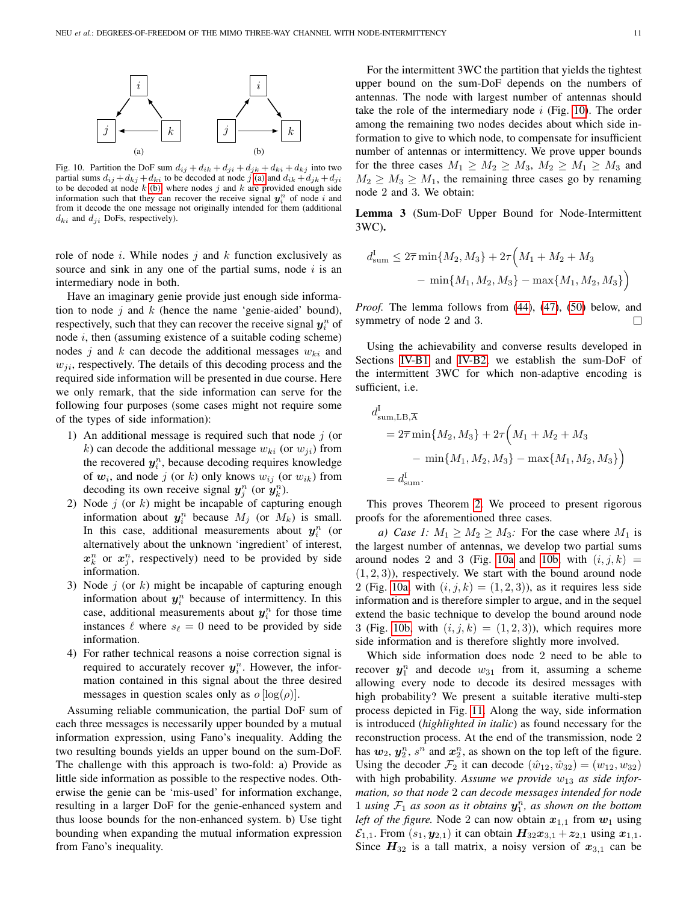<span id="page-10-3"></span><span id="page-10-2"></span>

<span id="page-10-1"></span>Fig. 10. Partition the DoF sum  $d_{ij} + d_{ik} + d_{ji} + d_{jk} + d_{ki} + d_{kj}$  into two partial sums  $d_{ij} + d_{kj} + d_{ki}$  to be decoded at node j [\(a\)](#page-10-2) and  $d_{ik} + d_{jk} + d_{ji}$ to be decoded at node  $k$  [\(b\),](#page-10-3) where nodes  $j$  and  $k$  are provided enough side information such that they can recover the receive signal  $y_i^n$  of node i and from it decode the one message not originally intended for them (additional  $d_{ki}$  and  $d_{ji}$  DoFs, respectively).

role of node i. While nodes j and  $k$  function exclusively as source and sink in any one of the partial sums, node  $i$  is an intermediary node in both.

Have an imaginary genie provide just enough side information to node  $j$  and  $k$  (hence the name 'genie-aided' bound), respectively, such that they can recover the receive signal  $y_i^n$  of node  $i$ , then (assuming existence of a suitable coding scheme) nodes j and k can decode the additional messages  $w_{ki}$  and  $w_{ii}$ , respectively. The details of this decoding process and the required side information will be presented in due course. Here we only remark, that the side information can serve for the following four purposes (some cases might not require some of the types of side information):

- 1) An additional message is required such that node  $i$  (or k) can decode the additional message  $w_{ki}$  (or  $w_{ii}$ ) from the recovered  $y_i^n$ , because decoding requires knowledge of  $w_i$ , and node j (or k) only knows  $w_{ij}$  (or  $w_{ik}$ ) from decoding its own receive signal  $y_j^n$  (or  $y_k^n$ ).
- 2) Node  $j$  (or  $k$ ) might be incapable of capturing enough information about  $y_i^n$  because  $M_j$  (or  $M_k$ ) is small. In this case, additional measurements about  $y_i^n$  (or alternatively about the unknown 'ingredient' of interest,  $x_k^n$  or  $x_j^n$ , respectively) need to be provided by side information.
- 3) Node  $j$  (or  $k$ ) might be incapable of capturing enough information about  $y_i^n$  because of intermittency. In this case, additional measurements about  $y_i^n$  for those time instances  $\ell$  where  $s_{\ell} = 0$  need to be provided by side information.
- 4) For rather technical reasons a noise correction signal is required to accurately recover  $y_i^n$ . However, the information contained in this signal about the three desired messages in question scales only as  $o \lfloor log(\rho) \rfloor$ .

Assuming reliable communication, the partial DoF sum of each three messages is necessarily upper bounded by a mutual information expression, using Fano's inequality. Adding the two resulting bounds yields an upper bound on the sum-DoF. The challenge with this approach is two-fold: a) Provide as little side information as possible to the respective nodes. Otherwise the genie can be 'mis-used' for information exchange, resulting in a larger DoF for the genie-enhanced system and thus loose bounds for the non-enhanced system. b) Use tight bounding when expanding the mutual information expression from Fano's inequality.

For the intermittent 3WC the partition that yields the tightest upper bound on the sum-DoF depends on the numbers of antennas. The node with largest number of antennas should take the role of the intermediary node  $i$  (Fig. [10\)](#page-10-1). The order among the remaining two nodes decides about which side information to give to which node, to compensate for insufficient number of antennas or intermittency. We prove upper bounds for the three cases  $M_1 \geq M_2 \geq M_3$ ,  $M_2 \geq M_1 \geq M_3$  and  $M_2 \geq M_3 \geq M_1$ , the remaining three cases go by renaming node 2 and 3. We obtain:

<span id="page-10-0"></span>Lemma 3 (Sum-DoF Upper Bound for Node-Intermittent 3WC).

$$
d_{\text{sum}}^{\text{I}} \leq 2\overline{\tau} \min\{M_2, M_3\} + 2\tau \Big(M_1 + M_2 + M_3
$$

$$
- \min\{M_1, M_2, M_3\} - \max\{M_1, M_2, M_3\}\Big)
$$

*Proof.* The lemma follows from [\(44\)](#page-12-0), [\(47\)](#page-13-0), [\(50\)](#page-14-2) below, and symmetry of node 2 and 3. □

Using the achievability and converse results developed in Sections [IV-B1](#page-9-0) and [IV-B2,](#page-9-1) we establish the sum-DoF of the intermittent 3WC for which non-adaptive encoding is sufficient, i.e.

$$
d_{\text{sum,LB},\overline{A}}^{\text{I}} = 2\overline{\tau} \min\{M_2, M_3\} + 2\tau \Big(M_1 + M_2 + M_3
$$

$$
- \min\{M_1, M_2, M_3\} - \max\{M_1, M_2, M_3\}\Big)
$$

$$
= d_{\text{sum}}^{\text{I}}.
$$

This proves Theorem [2.](#page-4-2) We proceed to present rigorous proofs for the aforementioned three cases.

*a)* Case 1:  $M_1 \geq M_2 \geq M_3$ : For the case where  $M_1$  is the largest number of antennas, we develop two partial sums around nodes 2 and 3 (Fig. [10a](#page-10-2) and [10b,](#page-10-3) with  $(i, j, k)$  =  $(1, 2, 3)$ , respectively. We start with the bound around node 2 (Fig. [10a,](#page-10-2) with  $(i, j, k) = (1, 2, 3)$ ), as it requires less side information and is therefore simpler to argue, and in the sequel extend the basic technique to develop the bound around node 3 (Fig. [10b,](#page-10-3) with  $(i, j, k) = (1, 2, 3)$ ), which requires more side information and is therefore slightly more involved.

Which side information does node 2 need to be able to recover  $y_1^n$  and decode  $w_{31}$  from it, assuming a scheme allowing every node to decode its desired messages with high probability? We present a suitable iterative multi-step process depicted in Fig. [11.](#page-11-0) Along the way, side information is introduced (*highlighted in italic*) as found necessary for the reconstruction process. At the end of the transmission, node 2 has  $w_2$ ,  $y_2^n$ ,  $s^n$  and  $x_2^n$ , as shown on the top left of the figure. Using the decoder  $\mathcal{F}_2$  it can decode  $(\hat{w}_{12}, \hat{w}_{32}) = (w_{12}, w_{32})$ with high probability. Assume we provide  $w_{13}$  as side infor*mation, so that node* 2 *can decode messages intended for node* 1 *using*  $\mathcal{F}_1$  *as soon as it obtains*  $\mathbf{y}_1^n$ *, as shown on the bottom left of the figure.* Node 2 can now obtain  $x_{1,1}$  from  $w_1$  using  $\mathcal{E}_{1,1}$ . From  $(s_1, y_{2,1})$  it can obtain  $H_{32}x_{3,1} + z_{2,1}$  using  $x_{1,1}$ . Since  $H_{32}$  is a tall matrix, a noisy version of  $x_{3,1}$  can be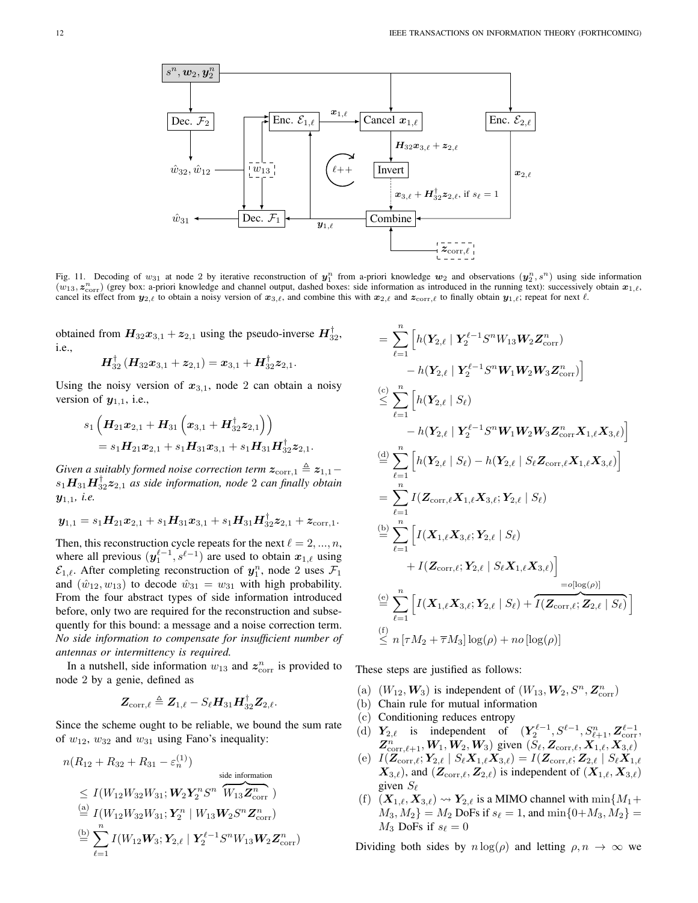

<span id="page-11-0"></span>Fig. 11. Decoding of  $w_{31}$  at node 2 by iterative reconstruction of  $y_1^n$  from a-priori knowledge  $w_2$  and observations  $(y_2^n, s^n)$  using side information  $(w_{13}, z_{\text{corr}}^n)$  (grey box: a-priori knowledge and channel output, dashed boxes: side information as introduced in the running text): successively obtain  $x_{1,\ell}$ , cancel its effect from  $y_{2,\ell}$  to obtain a noisy version of  $x_{3,\ell}$ , and combine this with  $x_{2,\ell}$  and  $z_{\text{corr},\ell}$  to finally obtain  $y_{1,\ell}$ ; repeat for next  $\ell$ .

obtained from  $H_{32}x_{3,1} + z_{2,1}$  using the pseudo-inverse  $H_{32}^{\dagger}$ , i.e.,

$$
\boldsymbol{H}_{32}^{\dagger}\left(\boldsymbol{H}_{32}\boldsymbol{x}_{3,1}+\boldsymbol{z}_{2,1}\right)=\boldsymbol{x}_{3,1}+\boldsymbol{H}_{32}^{\dagger}\boldsymbol{z}_{2,1}.
$$

Using the noisy version of  $x_{3,1}$ , node 2 can obtain a noisy version of  $y_{1,1}$ , i.e.,

$$
s_1\left(\boldsymbol{H}_{21}\boldsymbol{x}_{2,1}+\boldsymbol{H}_{31}\left(\boldsymbol{x}_{3,1}+\boldsymbol{H}_{32}^\dagger\boldsymbol{z}_{2,1}\right)\right)\\=s_1\boldsymbol{H}_{21}\boldsymbol{x}_{2,1}+s_1\boldsymbol{H}_{31}\boldsymbol{x}_{3,1}+s_1\boldsymbol{H}_{31}\boldsymbol{H}_{32}^\dagger\boldsymbol{z}_{2,1}.
$$

*Given a suitably formed noise correction term*  $z_{\text{corr},1} \triangleq z_{1,1}$  $s_1\bm{H}_{31}\bm{H}_{32}^{\dagger}\bm{z}_{2,1}$  as side information, node 2 can finally obtain y1,1*, i.e.*

$$
\mathbf{y}_{1,1} = s_1 \mathbf{H}_{21} \mathbf{x}_{2,1} + s_1 \mathbf{H}_{31} \mathbf{x}_{3,1} + s_1 \mathbf{H}_{31} \mathbf{H}_{32}^{\dagger} \mathbf{z}_{2,1} + \mathbf{z}_{\text{corr},1}.
$$

Then, this reconstruction cycle repeats for the next  $\ell = 2, ..., n$ , where all previous  $(\mathbf{y}_1^{\ell-1}, s^{\ell-1})$  are used to obtain  $\mathbf{x}_{1,\ell}$  using  $\mathcal{E}_{1,\ell}$ . After completing reconstruction of  $y_1^n$ , node 2 uses  $\mathcal{F}_1$ and  $(\hat{w}_{12}, w_{13})$  to decode  $\hat{w}_{31} = w_{31}$  with high probability. From the four abstract types of side information introduced before, only two are required for the reconstruction and subsequently for this bound: a message and a noise correction term. *No side information to compensate for insufficient number of antennas or intermittency is required.*

In a nutshell, side information  $w_{13}$  and  $z^n_{\text{corr}}$  is provided to node 2 by a genie, defined as

$$
\boldsymbol{Z}_{\mathrm{corr},\ell} \triangleq \boldsymbol{Z}_{1,\ell} - S_\ell \boldsymbol{H}_{31} \boldsymbol{H}_{32}^\dagger \boldsymbol{Z}_{2,\ell}.
$$

Since the scheme ought to be reliable, we bound the sum rate of  $w_{12}$ ,  $w_{32}$  and  $w_{31}$  using Fano's inequality:

$$
n(R_{12} + R_{32} + R_{31} - \varepsilon_n^{(1)})
$$
  
\n
$$
\leq I(W_{12}W_{32}W_{31}; W_2Y_2^nS^n \overbrace{W_{13}Z_{corr}^n}^{side information})
$$
  
\n
$$
\stackrel{\text{(a)}}{=} I(W_{12}W_{32}W_{31}; Y_2^n | W_{13}W_2S^nZ_{corr}^n)
$$
  
\n
$$
\stackrel{\text{(b)}}{=} \sum_{\ell=1}^n I(W_{12}W_3; Y_{2,\ell} | Y_2^{\ell-1}S^nW_{13}W_2Z_{corr}^n)
$$

$$
= \sum_{\ell=1}^{n} \left[ h(Y_{2,\ell} | Y_2^{\ell-1} S^n W_{13} W_2 Z_{\text{corr}}^n) - h(Y_{2,\ell} | Y_2^{\ell-1} S^n W_1 W_2 W_3 Z_{\text{corr}}^n) \right]
$$
  
\n
$$
\leq \sum_{\ell=1}^{n} \left[ h(Y_{2,\ell} | S_\ell) - h(Y_{2,\ell} | Y_2^{\ell-1} S^n W_1 W_2 W_3 Z_{\text{corr}}^n X_{1,\ell} X_{3,\ell}) \right]
$$
  
\n
$$
\stackrel{\text{(d)}}{=} \sum_{\ell=1}^{n} \left[ h(Y_{2,\ell} | S_\ell) - h(Y_{2,\ell} | S_\ell Z_{\text{corr},\ell} X_{1,\ell} X_{3,\ell}) \right]
$$
  
\n
$$
= \sum_{\ell=1}^{n} I(Z_{\text{corr},\ell} X_{1,\ell} X_{3,\ell}; Y_{2,\ell} | S_\ell)
$$
  
\n
$$
\stackrel{\text{(b)}}{=} \sum_{\ell=1}^{n} \left[ I(X_{1,\ell} X_{3,\ell}; Y_{2,\ell} | S_\ell) + I(Z_{\text{corr},\ell}; Y_{2,\ell} | S_\ell X_{1,\ell} X_{3,\ell}) \right]
$$
  
\n
$$
\stackrel{\text{(e)}}{=} \sum_{\ell=1}^{n} \left[ I(X_{1,\ell} X_{3,\ell}; Y_{2,\ell} | S_\ell) + \overline{I(Z_{\text{corr},\ell}; Z_{2,\ell} | S_\ell)} \right]
$$
  
\n
$$
\stackrel{\text{(f)}}{=} \sum_{\ell=1}^{n} \left[ I(X_{1,\ell} X_{3,\ell}; Y_{2,\ell} | S_\ell) + \overline{I(Z_{\text{corr},\ell}; Z_{2,\ell} | S_\ell)} \right]
$$
  
\n
$$
\stackrel{\text{(f)}}{=} n \left[ \tau M_2 + \overline{\tau} M_3 \right] \log(\rho) + n o \left[ \log(\rho) \right]
$$

These steps are justified as follows:

- (a)  $(W_{12}, W_3)$  is independent of  $(W_{13}, W_2, S^n, Z^n_{\text{corr}})$
- (b) Chain rule for mutual information
- (c) Conditioning reduces entropy
- (d)  $Y_{2,\ell}$  is independent of  $(Y_2^{\ell-1}, S^{\ell-1}, S_{\ell+1}^n, Z_{\text{corr}}^{\ell-1})$  $\mathbb{Z}^n_{\text{corr},\ell+1}, W_1, W_2, W_3)$  given  $(S_\ell, \mathbb{Z}_{\text{corr},\ell}, \mathbb{X}_{1,\ell}, \mathbb{X}_{3,\ell})$
- (e)  $I(\boldsymbol{Z}_{\text{corr},\ell};\boldsymbol{Y}_{2,\ell} \mid S_{\ell} \boldsymbol{X}_{1,\ell} \boldsymbol{X}_{3,\ell}) = I(\boldsymbol{Z}_{\text{corr},\ell}; \boldsymbol{Z}_{2,\ell} \mid S_{\ell} \boldsymbol{X}_{1,\ell})$  $(X_{3,\ell})$ , and  $(Z_{\text{corr},\ell}, Z_{2,\ell})$  is independent of  $(X_{1,\ell}, X_{3,\ell})$ given  $S_{\ell}$
- (f)  $(X_{1,\ell}, X_{3,\ell}) \rightsquigarrow Y_{2,\ell}$  is a MIMO channel with  $\min\{M_1+\}$  $M_3, M_2$ } =  $M_2$  DoFs if  $s_\ell = 1$ , and  $\min\{0+M_3, M_2\} =$  $M_3$  DoFs if  $s_\ell = 0$

Dividing both sides by  $n \log(\rho)$  and letting  $\rho, n \to \infty$  we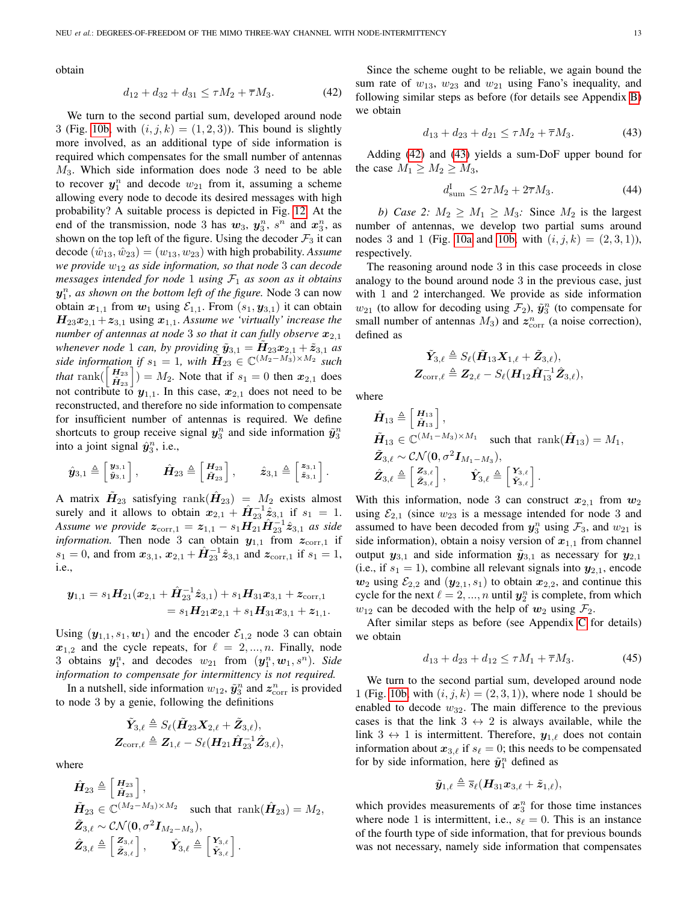obtain

$$
d_{12} + d_{32} + d_{31} \le \tau M_2 + \overline{\tau} M_3. \tag{42}
$$

We turn to the second partial sum, developed around node 3 (Fig. [10b,](#page-10-3) with  $(i, j, k) = (1, 2, 3)$ ). This bound is slightly more involved, as an additional type of side information is required which compensates for the small number of antennas  $M<sub>3</sub>$ . Which side information does node 3 need to be able to recover  $y_1^n$  and decode  $w_{21}$  from it, assuming a scheme allowing every node to decode its desired messages with high probability? A suitable process is depicted in Fig. [12.](#page-13-1) At the end of the transmission, node 3 has  $w_3$ ,  $y_3^n$ ,  $s^n$  and  $x_3^n$ , as shown on the top left of the figure. Using the decoder  $\mathcal{F}_3$  it can  $\text{decode}(\hat{w}_{13}, \hat{w}_{23}) = (w_{13}, w_{23})$  with high probability. Assume *we provide* w<sup>12</sup> *as side information, so that node* 3 *can decode messages intended for node* 1 *using*  $\mathcal{F}_1$  *as soon as it obtains*  $y_1^n$ , as shown on the bottom left of the figure. Node 3 can now obtain  $x_{1,1}$  from  $w_1$  using  $\mathcal{E}_{1,1}$ . From  $(s_1, y_{3,1})$  it can obtain  $H_{23}x_{2,1} + z_{3,1}$  using  $x_{1,1}$ . *Assume we 'virtually' increase the number of antennas at node* 3 *so that it can fully observe*  $x_{2,1}$ whenever node 1 can, by providing  $\tilde{\mathbf{y}}_{3,1} = \tilde{\mathbf{H}}_{23} \mathbf{x}_{2,1} + \tilde{\mathbf{z}}_{3,1}$  as *side information if*  $s_1 = 1$ *, with*  $\widetilde{\mathbf{H}}_{23} \in \mathbb{C}^{(M_2 - M_3) \times M_2}$  *such that* rank $\begin{pmatrix} H_{23} \\ \hat{H}_{23} \end{pmatrix}$  =  $M_2$ . Note that if  $s_1 = 0$  then  $x_{2,1}$  does not contribute to  $y_{1,1}$ . In this case,  $x_{2,1}$  does not need to be reconstructed, and therefore no side information to compensate for insufficient number of antennas is required. We define shortcuts to group receive signal  $y_3^n$  and side information  $\tilde{y}_3^n$ into a joint signal  $\hat{\mathbf{y}}_3^n$ , i.e.,

$$
\hat{\boldsymbol{y}}_{3,1} \triangleq \begin{bmatrix} \boldsymbol{y}_{3,1} \\ \tilde{\boldsymbol{y}}_{3,1} \end{bmatrix}, \qquad \hat{\boldsymbol{H}}_{23} \triangleq \begin{bmatrix} \boldsymbol{H}_{23} \\ \tilde{\boldsymbol{H}}_{23} \end{bmatrix}, \qquad \hat{\boldsymbol{z}}_{3,1} \triangleq \begin{bmatrix} \boldsymbol{z}_{3,1} \\ \tilde{\boldsymbol{z}}_{3,1} \end{bmatrix}.
$$

A matrix  $\tilde{\bm{H}}_{23}$  satisfying  $\mathrm{rank}(\hat{\bm{H}}_{23})~=~M_2$  exists almost surely and it allows to obtain  $x_{2,1} + \hat{H}_{23}^{-1} \hat{z}_{3,1}$  if  $s_1 = 1$ . *Assume we provide*  $z_{\text{corr},1} = z_{1,1} - s_1 H_{21} \tilde{H}_{23}^{-1} \hat{z}_{3,1}$  as side *information*. Then node 3 can obtain  $y_{1,1}$  from  $z_{\text{corr},1}$  if  $s_1 = 0$ , and from  $x_{3,1}$ ,  $x_{2,1} + \hat{H}_{23}^{-1} \hat{z}_{3,1}$  and  $z_{\text{corr},1}$  if  $s_1 = 1$ , i.e.,

$$
\begin{aligned} \boldsymbol{y}_{1,1} = s_1\boldsymbol{H}_{21} (\boldsymbol{x}_{2,1} + \hat{\boldsymbol{H}}_{23}^{-1}\hat{\boldsymbol{z}}_{3,1}) + s_1\boldsymbol{H}_{31}\boldsymbol{x}_{3,1} + \boldsymbol{z}_{\text{corr},1} \\ = s_1\boldsymbol{H}_{21}\boldsymbol{x}_{2,1} + s_1\boldsymbol{H}_{31}\boldsymbol{x}_{3,1} + \boldsymbol{z}_{1,1}. \end{aligned}
$$

Using  $(y_{1,1}, s_1, w_1)$  and the encoder  $\mathcal{E}_{1,2}$  node 3 can obtain  $x_{1,2}$  and the cycle repeats, for  $\ell = 2, ..., n$ . Finally, node 3 obtains  $y_1^n$ , and decodes  $w_{21}$  from  $(y_1^n, w_1, s^n)$ . *Side information to compensate for intermittency is not required.*

In a nutshell, side information  $w_{12}$ ,  $\tilde{\mathbf{y}}_3^n$  and  $\mathbf{z}_{{\rm corr}}^n$  is provided to node 3 by a genie, following the definitions

$$
\begin{aligned} \tilde{\boldsymbol{Y}}_{3,\ell} \triangleq S_\ell (\tilde{\boldsymbol{H}}_{23}\boldsymbol{X}_{2,\ell}+\tilde{\boldsymbol{Z}}_{3,\ell}), \\ \boldsymbol{Z}_{\text{corr},\ell} \triangleq \boldsymbol{Z}_{1,\ell}-S_\ell (\boldsymbol{H}_{21}\hat{\boldsymbol{H}}_{23}^{-1}\hat{\boldsymbol{Z}}_{3,\ell}), \end{aligned}
$$

where

$$
\hat{H}_{23} \triangleq \begin{bmatrix} H_{23} \\ \hat{H}_{23} \end{bmatrix},
$$
\n
$$
\tilde{H}_{23} \in \mathbb{C}^{(M_2 - M_3) \times M_2} \text{ such that } \text{rank}(\hat{H}_{23}) = M_2,
$$
\n
$$
\tilde{Z}_{3,\ell} \sim \mathcal{CN}(\mathbf{0}, \sigma^2 \mathbf{I}_{M_2 - M_3}),
$$
\n
$$
\hat{Z}_{3,\ell} \triangleq \begin{bmatrix} Z_{3,\ell} \\ \tilde{Z}_{3,\ell} \end{bmatrix}, \qquad \hat{Y}_{3,\ell} \triangleq \begin{bmatrix} Y_{3,\ell} \\ \tilde{Y}_{3,\ell} \end{bmatrix}.
$$

<span id="page-12-1"></span>Since the scheme ought to be reliable, we again bound the sum rate of  $w_{13}$ ,  $w_{23}$  and  $w_{21}$  using Fano's inequality, and following similar steps as before (for details see Appendix [B\)](#page-16-4) we obtain

$$
d_{13} + d_{23} + d_{21} \le \tau M_2 + \overline{\tau} M_3. \tag{43}
$$

Adding [\(42\)](#page-12-1) and [\(43\)](#page-12-2) yields a sum-DoF upper bound for the case  $M_1 \geq M_2 \geq M_3$ ,

<span id="page-12-2"></span><span id="page-12-0"></span>
$$
d_{\text{sum}}^{\text{I}} \le 2\tau M_2 + 2\overline{\tau}M_3. \tag{44}
$$

*b)* Case 2:  $M_2 \geq M_1 \geq M_3$ : Since  $M_2$  is the largest number of antennas, we develop two partial sums around nodes 3 and 1 (Fig. [10a](#page-10-2) and [10b,](#page-10-3) with  $(i, j, k) = (2, 3, 1)$ ), respectively.

The reasoning around node 3 in this case proceeds in close analogy to the bound around node 3 in the previous case, just with 1 and 2 interchanged. We provide as side information  $w_{21}$  (to allow for decoding using  $\mathcal{F}_2$ ),  $\tilde{\mathbf{y}}_3^n$  (to compensate for small number of antennas  $M_3$ ) and  $z^n_{\text{corr}}$  (a noise correction), defined as

$$
\begin{aligned} \tilde{\boldsymbol{Y}}_{3,\ell} \triangleq S_\ell (\tilde{\boldsymbol{H}}_{13}\boldsymbol{X}_{1,\ell}+\tilde{\boldsymbol{Z}}_{3,\ell}), \\ \boldsymbol{Z}_{\mathrm{corr},\ell} \triangleq \boldsymbol{Z}_{2,\ell}-S_\ell (\boldsymbol{H}_{12}\hat{\boldsymbol{H}}_{13}^{-1}\hat{\boldsymbol{Z}}_{3,\ell}), \end{aligned}
$$

where

$$
\hat{H}_{13} \triangleq \begin{bmatrix} H_{13} \\ \hat{H}_{13} \end{bmatrix},
$$
\n
$$
\tilde{H}_{13} \in \mathbb{C}^{(M_1 - M_3) \times M_1} \text{ such that } \text{rank}(\hat{H}_{13}) = M_1,
$$
\n
$$
\tilde{Z}_{3,\ell} \sim \mathcal{CN}(\mathbf{0}, \sigma^2 \mathbf{I}_{M_1 - M_3}),
$$
\n
$$
\hat{Z}_{3,\ell} \triangleq \begin{bmatrix} Z_{3,\ell} \\ \tilde{Z}_{3,\ell} \end{bmatrix}, \qquad \hat{Y}_{3,\ell} \triangleq \begin{bmatrix} Y_{3,\ell} \\ \tilde{Y}_{3,\ell} \end{bmatrix}.
$$

With this information, node 3 can construct  $x_{2,1}$  from  $w_2$ using  $\mathcal{E}_{2,1}$  (since  $w_{23}$  is a message intended for node 3 and assumed to have been decoded from  $y_3^n$  using  $\mathcal{F}_3$ , and  $w_{21}$  is side information), obtain a noisy version of  $x_{1,1}$  from channel output  $y_{3,1}$  and side information  $\tilde{y}_{3,1}$  as necessary for  $y_{2,1}$ (i.e., if  $s_1 = 1$ ), combine all relevant signals into  $y_{2,1}$ , encode  $w_2$  using  $\mathcal{E}_{2,2}$  and  $(y_{2,1}, s_1)$  to obtain  $x_{2,2}$ , and continue this cycle for the next  $\ell = 2, ..., n$  until  $y_2^n$  is complete, from which  $w_{12}$  can be decoded with the help of  $w_2$  using  $\mathcal{F}_2$ .

After similar steps as before (see Appendix [C](#page-17-0) for details) we obtain

<span id="page-12-3"></span>
$$
d_{13} + d_{23} + d_{12} \le \tau M_1 + \overline{\tau} M_3. \tag{45}
$$

We turn to the second partial sum, developed around node 1 (Fig. [10b,](#page-10-3) with  $(i, j, k) = (2, 3, 1)$ ), where node 1 should be enabled to decode  $w_{32}$ . The main difference to the previous cases is that the link  $3 \leftrightarrow 2$  is always available, while the link 3  $\leftrightarrow$  1 is intermittent. Therefore,  $y_{1,\ell}$  does not contain information about  $x_{3,\ell}$  if  $s_{\ell} = 0$ ; this needs to be compensated for by side information, here  $\tilde{y}_1^n$  defined as

$$
\tilde{\boldsymbol{y}}_{1,\ell}\triangleq \overline{s}_{\ell}(\boldsymbol{H}_{31}\boldsymbol{x}_{3,\ell}+\tilde{\boldsymbol{z}}_{1,\ell}),
$$

which provides measurements of  $x_3^n$  for those time instances where node 1 is intermittent, i.e.,  $s_\ell = 0$ . This is an instance of the fourth type of side information, that for previous bounds was not necessary, namely side information that compensates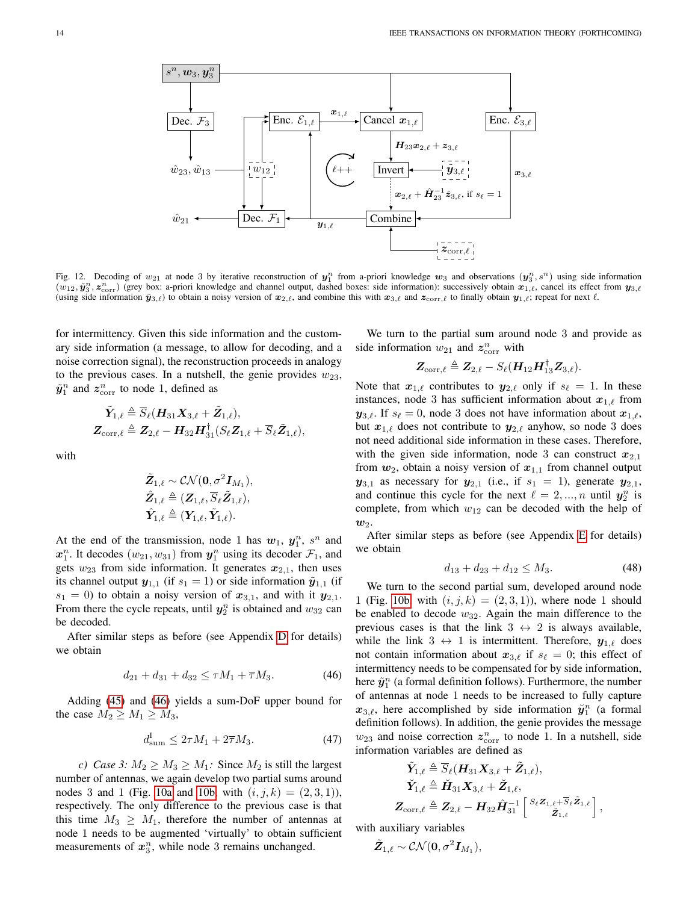

<span id="page-13-1"></span>Fig. 12. Decoding of  $w_{21}$  at node 3 by iterative reconstruction of  $y_1^n$  from a-priori knowledge  $w_3$  and observations  $(y_3^n, s^n)$  using side information  $(w_{12}, \tilde{y}_3^n, z_{\text{corr}}^n)$  (grey box: a-priori knowledge and channel output, dashed boxes: side information): successively obtain  $x_{1,\ell}$ , cancel its effect from  $y_{3,\ell}$ (using side information  $\tilde{\mathbf{y}}_{3,\ell}$ ) to obtain a noisy version of  $\mathbf{x}_{2,\ell}$ , and combine this with  $\mathbf{x}_{3,\ell}$  and  $\mathbf{z}_{\text{corr},\ell}$  to finally obtain  $\mathbf{y}_{1,\ell}$ ; repeat for next  $\ell$ .

for intermittency. Given this side information and the customary side information (a message, to allow for decoding, and a noise correction signal), the reconstruction proceeds in analogy to the previous cases. In a nutshell, the genie provides  $w_{23}$ ,  $\tilde{\mathbf{y}}_1^n$  and  $\mathbf{z}_{\text{corr}}^n$  to node 1, defined as

$$
\begin{aligned} \tilde{\boldsymbol{Y}}_{1,\ell} &\triangleq \overline{S}_{\ell}(\boldsymbol{H}_{31} \boldsymbol{X}_{3,\ell} + \tilde{\boldsymbol{Z}}_{1,\ell}), \\ \boldsymbol{Z}_{\mathrm{corr},\ell} &\triangleq \boldsymbol{Z}_{2,\ell} - \boldsymbol{H}_{32} \boldsymbol{H}_{31}^{\dagger} (S_{\ell} \boldsymbol{Z}_{1,\ell} + \overline{S}_{\ell} \tilde{\boldsymbol{Z}}_{1,\ell}), \end{aligned}
$$

with

$$
\begin{aligned} &\tilde{\boldsymbol{Z}}_{1,\ell} \sim \mathcal{CN}(\boldsymbol{0}, \sigma^2 \boldsymbol{I}_{M_1}), \\ &\hat{\boldsymbol{Z}}_{1,\ell} \triangleq (\boldsymbol{Z}_{1,\ell}, \overline{S}_{\ell} \tilde{\boldsymbol{Z}}_{1,\ell}), \\ &\hat{\boldsymbol{Y}}_{1,\ell} \triangleq (\boldsymbol{Y}_{1,\ell}, \tilde{\boldsymbol{Y}}_{1,\ell}). \end{aligned}
$$

At the end of the transmission, node 1 has  $w_1$ ,  $y_1^n$ ,  $s^n$  and  $x_1^n$ . It decodes  $(w_{21}, w_{31})$  from  $y_1^n$  using its decoder  $\mathcal{F}_1$ , and gets  $w_{23}$  from side information. It generates  $x_{2,1}$ , then uses its channel output  $y_{1,1}$  (if  $s_1 = 1$ ) or side information  $\tilde{y}_{1,1}$  (if  $s_1 = 0$ ) to obtain a noisy version of  $x_{3,1}$ , and with it  $y_{2,1}$ . From there the cycle repeats, until  $y_2^n$  is obtained and  $w_{32}$  can be decoded.

After similar steps as before (see Appendix [D](#page-17-1) for details) we obtain

$$
d_{21} + d_{31} + d_{32} \le \tau M_1 + \overline{\tau} M_3. \tag{46}
$$

Adding [\(45\)](#page-12-3) and [\(46\)](#page-13-2) yields a sum-DoF upper bound for the case  $M_2 \geq M_1 \geq M_3$ ,

$$
d_{\text{sum}}^{\text{I}} \le 2\tau M_1 + 2\overline{\tau} M_3. \tag{47}
$$

*c)* Case 3:  $M_2 \geq M_3 \geq M_1$ : Since  $M_2$  is still the largest number of antennas, we again develop two partial sums around nodes 3 and 1 (Fig. [10a](#page-10-2) and [10b,](#page-10-3) with  $(i, j, k) = (2, 3, 1)$ ), respectively. The only difference to the previous case is that this time  $M_3 \geq M_1$ , therefore the number of antennas at node 1 needs to be augmented 'virtually' to obtain sufficient measurements of  $x_3^n$ , while node 3 remains unchanged.

We turn to the partial sum around node 3 and provide as side information  $w_{21}$  and  $z^n_{\text{corr}}$  with

$$
\boldsymbol{Z}_{\mathrm{corr},\ell}\triangleq \boldsymbol{Z}_{2,\ell}-S_{\ell}(\boldsymbol{H}_{12}\boldsymbol{H}_{13}^{\dagger}\boldsymbol{Z}_{3,\ell}).
$$

Note that  $x_{1,\ell}$  contributes to  $y_{2,\ell}$  only if  $s_{\ell} = 1$ . In these instances, node 3 has sufficient information about  $x_{1,\ell}$  from  $y_{3,\ell}$ . If  $s_{\ell} = 0$ , node 3 does not have information about  $x_{1,\ell}$ , but  $x_{1,\ell}$  does not contribute to  $y_{2,\ell}$  anyhow, so node 3 does not need additional side information in these cases. Therefore, with the given side information, node 3 can construct  $x_{2,1}$ from  $w_2$ , obtain a noisy version of  $x_{1,1}$  from channel output  $y_{3,1}$  as necessary for  $y_{2,1}$  (i.e., if  $s_1 = 1$ ), generate  $y_{2,1}$ , and continue this cycle for the next  $\ell = 2, ..., n$  until  $y_2^n$  is complete, from which  $w_{12}$  can be decoded with the help of  $w_2$ .

After similar steps as before (see Appendix [E](#page-17-2) for details) we obtain

<span id="page-13-3"></span>
$$
d_{13} + d_{23} + d_{12} \le M_3. \tag{48}
$$

<span id="page-13-2"></span>We turn to the second partial sum, developed around node 1 (Fig. [10b,](#page-10-3) with  $(i, j, k) = (2, 3, 1)$ ), where node 1 should be enabled to decode  $w_{32}$ . Again the main difference to the previous cases is that the link  $3 \leftrightarrow 2$  is always available, while the link  $3 \leftrightarrow 1$  is intermittent. Therefore,  $y_{1,\ell}$  does not contain information about  $x_{3,\ell}$  if  $s_{\ell} = 0$ ; this effect of intermittency needs to be compensated for by side information, here  $\tilde{\mathbf{y}}_1^n$  (a formal definition follows). Furthermore, the number of antennas at node 1 needs to be increased to fully capture  $x_{3,\ell}$ , here accomplished by side information  $\ddot{y}_1^n$  (a formal definition follows). In addition, the genie provides the message  $w_{23}$  and noise correction  $z^n_{\text{corr}}$  to node 1. In a nutshell, side information variables are defined as

<span id="page-13-0"></span>
$$
\begin{aligned} \tilde{\boldsymbol{Y}}_{1,\ell} & \triangleq \overline{S}_{\ell}(\boldsymbol{H}_{31}\boldsymbol{X}_{3,\ell} + \tilde{\boldsymbol{Z}}_{1,\ell}), \\ \breve{\boldsymbol{Y}}_{1,\ell} & \triangleq \breve{\boldsymbol{H}}_{31}\boldsymbol{X}_{3,\ell} + \breve{\boldsymbol{Z}}_{1,\ell}, \\ \boldsymbol{Z}_{\text{corr},\ell} & \triangleq \boldsymbol{Z}_{2,\ell} - \boldsymbol{H}_{32}\hat{\boldsymbol{H}}_{31}^{-1} \left[ \begin{smallmatrix} S_{\ell}\boldsymbol{Z}_{1,\ell} + \overline{S}_{\ell}\tilde{\boldsymbol{Z}}_{1,\ell} \\ \breve{\boldsymbol{Z}}_{1,\ell} \end{smallmatrix} \right], \end{aligned}
$$

with auxiliary variables

$$
\tilde{\pmb{Z}}_{1,\ell} \sim \mathcal{CN}(\pmb{0}, \sigma^2 \pmb{I}_{M_1}),
$$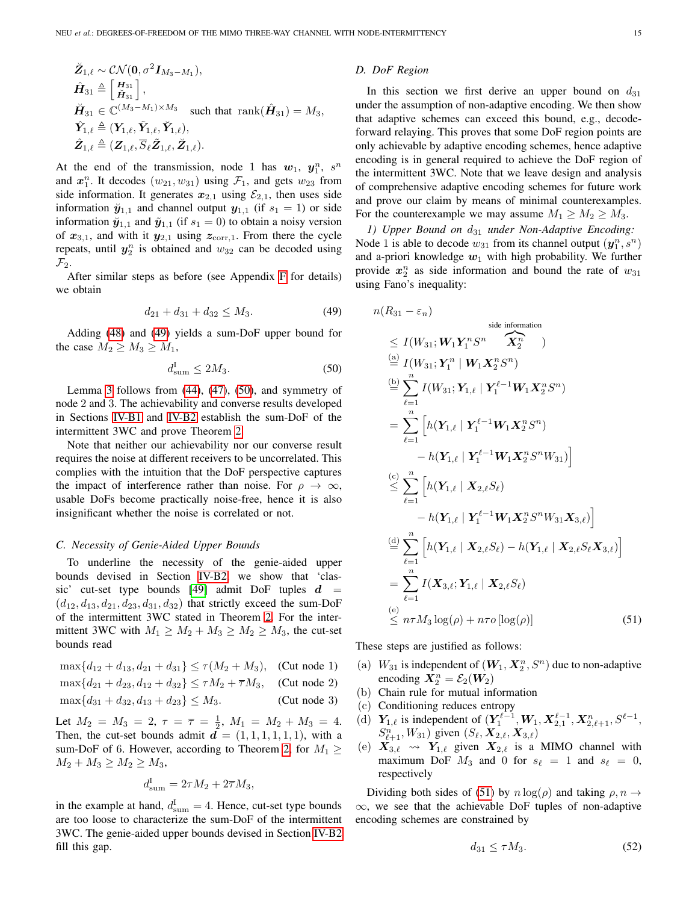$$
\check{Z}_{1,\ell} \sim \mathcal{CN}(\mathbf{0}, \sigma^2 \mathbf{I}_{M_3 - M_1}),
$$
\n
$$
\hat{\mathbf{H}}_{31} \triangleq \begin{bmatrix} \mathbf{H}_{31} \\ \check{\mathbf{H}}_{31} \end{bmatrix},
$$
\n
$$
\check{\mathbf{H}}_{31} \in \mathbb{C}^{(M_3 - M_1) \times M_3} \text{ such that } \text{rank}(\hat{\mathbf{H}}_{31}) = M_3,
$$
\n
$$
\hat{\mathbf{Y}}_{1,\ell} \triangleq (\mathbf{Y}_{1,\ell}, \tilde{\mathbf{Y}}_{1,\ell}, \check{\mathbf{Y}}_{1,\ell}),
$$
\n
$$
\hat{\mathbf{Z}}_{1,\ell} \triangleq (\mathbf{Z}_{1,\ell}, \overline{S}_{\ell} \tilde{\mathbf{Z}}_{1,\ell}, \breve{\mathbf{Z}}_{1,\ell}).
$$

At the end of the transmission, node 1 has  $w_1$ ,  $y_1^n$ ,  $s^n$ and  $x_1^n$ . It decodes  $(w_{21}, w_{31})$  using  $\mathcal{F}_1$ , and gets  $w_{23}$  from side information. It generates  $x_{2,1}$  using  $\mathcal{E}_{2,1}$ , then uses side information  $\ddot{y}_{1,1}$  and channel output  $y_{1,1}$  (if  $s_1 = 1$ ) or side information  $\ddot{y}_{1,1}$  and  $\ddot{y}_{1,1}$  (if  $s_1 = 0$ ) to obtain a noisy version of  $x_{3,1}$ , and with it  $y_{2,1}$  using  $z_{\text{corr},1}$ . From there the cycle repeats, until  $y_2^n$  is obtained and  $w_{32}$  can be decoded using  $\mathcal{F}_2$ .

After similar steps as before (see Appendix [F](#page-17-3) for details) we obtain

$$
d_{21} + d_{31} + d_{32} \le M_3. \tag{49}
$$

Adding [\(48\)](#page-13-3) and [\(49\)](#page-14-3) yields a sum-DoF upper bound for the case  $M_2 \geq M_3 \geq M_1$ ,

$$
d_{\text{sum}}^{\text{I}} \le 2M_3. \tag{50}
$$

Lemma [3](#page-10-0) follows from  $(44)$ ,  $(47)$ ,  $(50)$ , and symmetry of node 2 and 3. The achievability and converse results developed in Sections [IV-B1](#page-9-0) and [IV-B2](#page-9-1) establish the sum-DoF of the intermittent 3WC and prove Theorem [2.](#page-4-2)

Note that neither our achievability nor our converse result requires the noise at different receivers to be uncorrelated. This complies with the intuition that the DoF perspective captures the impact of interference rather than noise. For  $\rho \to \infty$ , usable DoFs become practically noise-free, hence it is also insignificant whether the noise is correlated or not.

# <span id="page-14-0"></span>*C. Necessity of Genie-Aided Upper Bounds*

To underline the necessity of the genie-aided upper bounds devised in Section [IV-B2,](#page-9-1) we show that 'clas-sic' cut-set type bounds [\[49\]](#page-19-3) admit DoF tuples  $d =$  $(d_{12}, d_{13}, d_{21}, d_{23}, d_{31}, d_{32})$  that strictly exceed the sum-DoF of the intermittent 3WC stated in Theorem [2.](#page-4-2) For the intermittent 3WC with  $M_1 \ge M_2 + M_3 \ge M_2 \ge M_3$ , the cut-set bounds read

$$
\max\{d_{12} + d_{13}, d_{21} + d_{31}\} \le \tau(M_2 + M_3),
$$
 (Cut node 1)  

$$
\max\{d_{13} + d_{14}, d_{15} + d_{16}\} \le \tau M_1 + \overline{\tau} M_2.
$$
 (Cut node 2)

$$
\max\{u_{21} + u_{23}, u_{12} + u_{32}\} \le \max\{u_{11} + u_{12} + u_{13}, \dots, (u_{n-1} + u_{n-2})\}
$$

$$
\max\{d_{31} + d_{32}, d_{13} + d_{23}\} \le M_3. \tag{Cut node 3}
$$

Let  $M_2 = M_3 = 2$ ,  $\tau = \overline{\tau} = \frac{1}{2}$ ,  $M_1 = M_2 + M_3 = 4$ . Then, the cut-set bounds admit  $\overline{d} = (1, 1, 1, 1, 1, 1)$ , with a sum-DoF of 6. However, according to Theorem [2,](#page-4-2) for  $M_1 \geq$  $M_2 + M_3 \ge M_2 \ge M_3$ ,

$$
d_{\text{sum}}^{\text{I}} = 2\tau M_2 + 2\overline{\tau} M_3,
$$

in the example at hand,  $d_{\text{sum}}^{\text{I}} = 4$ . Hence, cut-set type bounds are too loose to characterize the sum-DoF of the intermittent 3WC. The genie-aided upper bounds devised in Section [IV-B2](#page-9-1) fill this gap.

### *D. DoF Region*

In this section we first derive an upper bound on  $d_{31}$ under the assumption of non-adaptive encoding. We then show that adaptive schemes can exceed this bound, e.g., decodeforward relaying. This proves that some DoF region points are only achievable by adaptive encoding schemes, hence adaptive encoding is in general required to achieve the DoF region of the intermittent 3WC. Note that we leave design and analysis of comprehensive adaptive encoding schemes for future work and prove our claim by means of minimal counterexamples. For the counterexample we may assume  $M_1 \geq M_2 \geq M_3$ .

<span id="page-14-1"></span>*1) Upper Bound on* d<sup>31</sup> *under Non-Adaptive Encoding:* Node 1 is able to decode  $w_{31}$  from its channel output  $(\mathbf{y}_1^n, s^n)$ and a-priori knowledge  $w_1$  with high probability. We further provide  $x_2^n$  as side information and bound the rate of  $w_{31}$ using Fano's inequality:

<span id="page-14-3"></span><span id="page-14-2"></span>
$$
n(R_{31} - \varepsilon_n)
$$
  
\n
$$
\leq I(W_{31}; \mathbf{W}_1 \mathbf{Y}_1^n S^n \mathbf{X}_2^n)
$$
  
\n
$$
\stackrel{(a)}{=} I(W_{31}; \mathbf{Y}_1^n | \mathbf{W}_1 \mathbf{X}_2^n S^n)
$$
  
\n
$$
\stackrel{(b)}{=} \sum_{\ell=1}^n I(W_{31}; \mathbf{Y}_{1,\ell} | \mathbf{Y}_1^{\ell-1} \mathbf{W}_1 \mathbf{X}_2^n S^n)
$$
  
\n
$$
= \sum_{\ell=1}^n \left[ h(\mathbf{Y}_{1,\ell} | \mathbf{Y}_1^{\ell-1} \mathbf{W}_1 \mathbf{X}_2^n S^n) - h(\mathbf{Y}_{1,\ell} | \mathbf{Y}_1^{\ell-1} \mathbf{W}_1 \mathbf{X}_2^n S^n W_{31}) \right]
$$
  
\n
$$
\stackrel{(c)}{\leq} \sum_{\ell=1}^n \left[ h(\mathbf{Y}_{1,\ell} | \mathbf{X}_{2,\ell} S_\ell) - h(\mathbf{Y}_{1,\ell} | \mathbf{X}_2^n S^n W_{31} \mathbf{X}_{3,\ell}) \right]
$$
  
\n
$$
\stackrel{(d)}{=} \sum_{\ell=1}^n \left[ h(\mathbf{Y}_{1,\ell} | \mathbf{X}_{2,\ell} S_\ell) - h(\mathbf{Y}_{1,\ell} | \mathbf{X}_{2,\ell} S_\ell \mathbf{X}_{3,\ell}) \right]
$$
  
\n
$$
= \sum_{\ell=1}^n I(\mathbf{X}_{3,\ell}; \mathbf{Y}_{1,\ell} | \mathbf{X}_{2,\ell} S_\ell)
$$
  
\n
$$
\leq n \tau M_3 \log(\rho) + n \tau o[\log(\rho)] \qquad (51)
$$

<span id="page-14-4"></span>These steps are justified as follows:

- (a)  $W_{31}$  is independent of  $(W_1, X_2^n, S^n)$  due to non-adaptive encoding  $X_2^n = \mathcal{E}_2(W_2)$
- (b) Chain rule for mutual information
- (c) Conditioning reduces entropy
- (d)  $Y_{1,\ell}$  is independent of  $(Y_1^{\ell-1}, W_1, X_{2,1}^{\ell-1}, X_{2,\ell+1}^n, S^{\ell-1},$  $S_{\ell+1}^n, W_{31}$ ) given  $(S_{\ell}, X_{2,\ell}, X_{3,\ell})$
- (e)  $X_{3,\ell} \rightarrow Y_{1,\ell}$  given  $X_{2,\ell}$  is a MIMO channel with maximum DoF  $M_3$  and 0 for  $s_\ell = 1$  and  $s_\ell = 0$ , respectively

Dividing both sides of [\(51\)](#page-14-4) by  $n \log(\rho)$  and taking  $\rho, n \rightarrow$  $\infty$ , we see that the achievable DoF tuples of non-adaptive encoding schemes are constrained by

<span id="page-14-5"></span>
$$
d_{31} \le \tau M_3. \tag{52}
$$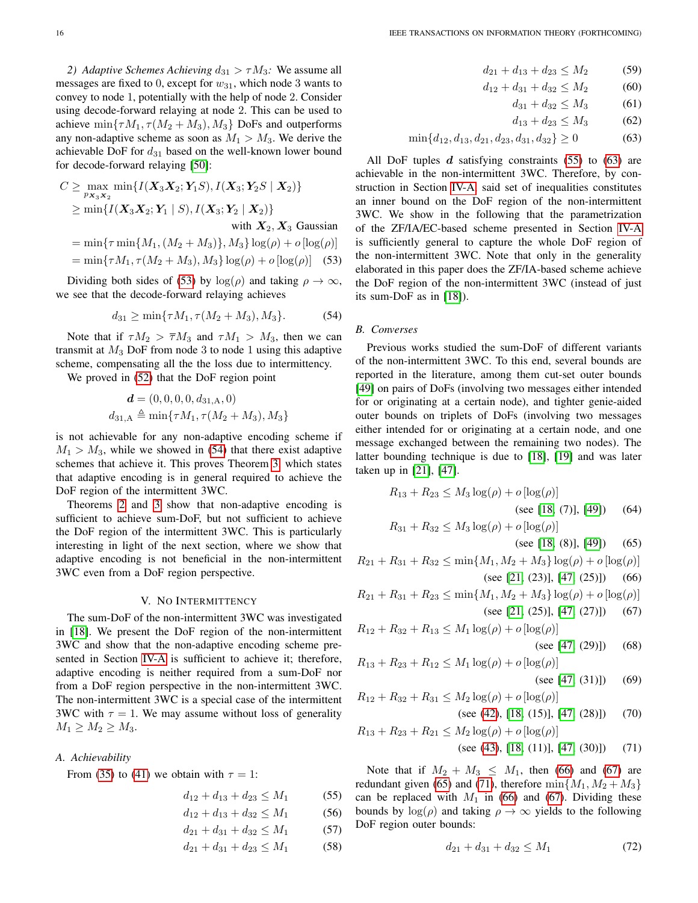<span id="page-15-1"></span>*2) Adaptive Schemes Achieving*  $d_{31} > \tau M_3$ : We assume all messages are fixed to 0, except for  $w_{31}$ , which node 3 wants to convey to node 1, potentially with the help of node 2. Consider using decode-forward relaying at node 2. This can be used to achieve min $\{\tau M_1, \tau (M_2 + M_3), M_3\}$  DoFs and outperforms any non-adaptive scheme as soon as  $M_1 > M_3$ . We derive the achievable DoF for  $d_{31}$  based on the well-known lower bound for decode-forward relaying [\[50\]](#page-19-4):

$$
C \ge \max_{p_{\mathbf{X}_3 \mathbf{X}_2}} \min\{I(\mathbf{X}_3 \mathbf{X}_2; \mathbf{Y}_1 S), I(\mathbf{X}_3; \mathbf{Y}_2 S \mid \mathbf{X}_2)\}
$$
  
 
$$
\ge \min\{I(\mathbf{X}_3 \mathbf{X}_2; \mathbf{Y}_1 \mid S), I(\mathbf{X}_3; \mathbf{Y}_2 \mid \mathbf{X}_2)\}
$$
 with  $\mathbf{X}_2, \mathbf{X}_3$  Gaussian

$$
= \min\{\tau \min\{M_1, (M_2 + M_3)\}, M_3\} \log(\rho) + o[\log(\rho)]
$$

$$
= \min\{\tau M_1, \tau (M_2 + M_3), M_3\} \log(\rho) + o[\log(\rho)] \quad (53)
$$

Dividing both sides of [\(53\)](#page-15-7) by  $log(\rho)$  and taking  $\rho \to \infty$ , we see that the decode-forward relaying achieves

$$
d_{31} \ge \min\{\tau M_1, \tau (M_2 + M_3), M_3\}.\tag{54}
$$

Note that if  $\tau M_2 > \overline{\tau} M_3$  and  $\tau M_1 > M_3$ , then we can transmit at  $M_3$  DoF from node 3 to node 1 using this adaptive scheme, compensating all the the loss due to intermittency.

We proved in [\(52\)](#page-14-5) that the DoF region point

$$
\mathbf{d} = (0, 0, 0, 0, d_{31, A}, 0)
$$
  

$$
d_{31, A} \triangleq \min\{\tau M_1, \tau (M_2 + M_3), M_3\}
$$

is not achievable for any non-adaptive encoding scheme if  $M_1 > M_3$ , while we showed in [\(54\)](#page-15-8) that there exist adaptive schemes that achieve it. This proves Theorem [3,](#page-5-1) which states that adaptive encoding is in general required to achieve the DoF region of the intermittent 3WC.

Theorems [2](#page-4-2) and [3](#page-5-1) show that non-adaptive encoding is sufficient to achieve sum-DoF, but not sufficient to achieve the DoF region of the intermittent 3WC. This is particularly interesting in light of the next section, where we show that adaptive encoding is not beneficial in the non-intermittent 3WC even from a DoF region perspective.

#### V. NO INTERMITTENCY

<span id="page-15-0"></span>The sum-DoF of the non-intermittent 3WC was investigated in [\[18\]](#page-18-11). We present the DoF region of the non-intermittent 3WC and show that the non-adaptive encoding scheme presented in Section [IV-A](#page-6-1) is sufficient to achieve it; therefore, adaptive encoding is neither required from a sum-DoF nor from a DoF region perspective in the non-intermittent 3WC. The non-intermittent 3WC is a special case of the intermittent 3WC with  $\tau = 1$ . We may assume without loss of generality  $M_1 \geq M_2 \geq M_3.$ 

#### <span id="page-15-2"></span>*A. Achievability*

From [\(35\)](#page-8-1) to [\(41\)](#page-8-2) we obtain with  $\tau = 1$ :

$$
d_{12} + d_{13} + d_{23} \le M_1 \tag{55}
$$

$$
d_{12} + d_{13} + d_{32} \le M_1 \tag{56}
$$

$$
d_{21} + d_{31} + d_{32} \le M_1 \tag{57}
$$

$$
d_{21} + d_{31} + d_{23} \le M_1 \tag{58}
$$

$$
d_{21} + d_{13} + d_{23} \le M_2
$$
 (59)  

$$
d_{12} + d_{31} + d_{32} \le M_2
$$
 (60)

$$
a_{31} + a_{32} \le m_2 \tag{60}
$$
  

$$
d_{31} + d_{32} \le M_2 \tag{61}
$$

<span id="page-15-4"></span>
$$
d_{13} + d_{23} \le M_3 \tag{62}
$$

$$
\begin{array}{cccc}\n & \alpha_{1,1} & \alpha_{2,2} & \dots & \alpha_{n} \\
\vdots & \vdots & \vdots & \ddots & \vdots \\
1 & 1 & 1 & 1 & 1\n\end{array}
$$

$$
\min\{d_{12}, d_{13}, d_{21}, d_{23}, d_{31}, d_{32}\} \ge 0\tag{63}
$$

All DoF tuples  $d$  satisfying constraints [\(55\)](#page-15-3) to [\(63\)](#page-15-4) are achievable in the non-intermittent 3WC. Therefore, by construction in Section [IV-A,](#page-6-1) said set of inequalities constitutes an inner bound on the DoF region of the non-intermittent 3WC. We show in the following that the parametrization of the ZF/IA/EC-based scheme presented in Section [IV-A](#page-6-1) is sufficiently general to capture the whole DoF region of the non-intermittent 3WC. Note that only in the generality elaborated in this paper does the ZF/IA-based scheme achieve the DoF region of the non-intermittent 3WC (instead of just its sum-DoF as in [\[18\]](#page-18-11)).

#### <span id="page-15-8"></span><span id="page-15-7"></span><span id="page-15-5"></span>*B. Converses*

Previous works studied the sum-DoF of different variants of the non-intermittent 3WC. To this end, several bounds are reported in the literature, among them cut-set outer bounds [\[49\]](#page-19-3) on pairs of DoFs (involving two messages either intended for or originating at a certain node), and tighter genie-aided outer bounds on triplets of DoFs (involving two messages either intended for or originating at a certain node, and one message exchanged between the remaining two nodes). The latter bounding technique is due to [\[18\]](#page-18-11), [\[19\]](#page-18-28) and was later taken up in [\[21\]](#page-18-29), [\[47\]](#page-19-1).

$$
R_{13} + R_{23} \le M_3 \log(\rho) + o \left[ \log(\rho) \right]
$$
\n(see [18, (7)], [49])

\n(64)

\n
$$
R_{31} + R_{32} \le M_3 \log(\rho) + o \left[ \log(\rho) \right]
$$

<span id="page-15-11"></span><span id="page-15-10"></span><span id="page-15-9"></span>(see [\[18,](#page-18-11) (8)], [\[49\]](#page-19-3)) (65)

 $R_{21} + R_{31} + R_{32} \leq \min\{M_1, M_2 + M_3\} \log(\rho) + o\left[\log(\rho)\right]$ (see [\[21,](#page-18-29) (23)], [\[47,](#page-19-1) (25)]) (66)

 $R_{21} + R_{31} + R_{23} \leq \min\{M_1, M_2 + M_3\} \log(\rho) + o \log(\rho)$ (see [\[21,](#page-18-29) (25)], [\[47,](#page-19-1) (27)]) (67)

$$
R_{12} + R_{32} + R_{13} \le M_1 \log(\rho) + o[\log(\rho)]
$$
\n
$$
\left(\cos \frac{17}{2} (201) \right)^{1/2}
$$

<span id="page-15-12"></span>
$$
(\sec [47, (29)])
$$
 (08)

$$
R_{13} + R_{23} + R_{12} \le M_1 \log(\rho) + o \left[ \log(\rho) \right]
$$
\n(see [47, (31)])

\n(69)

$$
R_{12} + R_{32} + R_{31} \le M_2 \log(\rho) + o[\log(\rho)]
$$
  
(see (42), [18, (15)], [47, (28)]) (70)

$$
R_{13} + R_{23} + R_{21} \le M_2 \log(\rho) + o[\log(\rho)]
$$
  
(see (43), [18, (11)], [47, (30)]) (71)

<span id="page-15-3"></span>Note that if  $M_2 + M_3 \leq M_1$ , then [\(66\)](#page-15-9) and [\(67\)](#page-15-10) are redundant given [\(65\)](#page-15-11) and [\(71\)](#page-15-12), therefore  $\min\{M_1, M_2 + M_3\}$ can be replaced with  $M_1$  in [\(66\)](#page-15-9) and [\(67\)](#page-15-10). Dividing these bounds by  $log(\rho)$  and taking  $\rho \to \infty$  yields to the following DoF region outer bounds:

<span id="page-15-6"></span>
$$
d_{21} + d_{31} + d_{32} \le M_1 \tag{72}
$$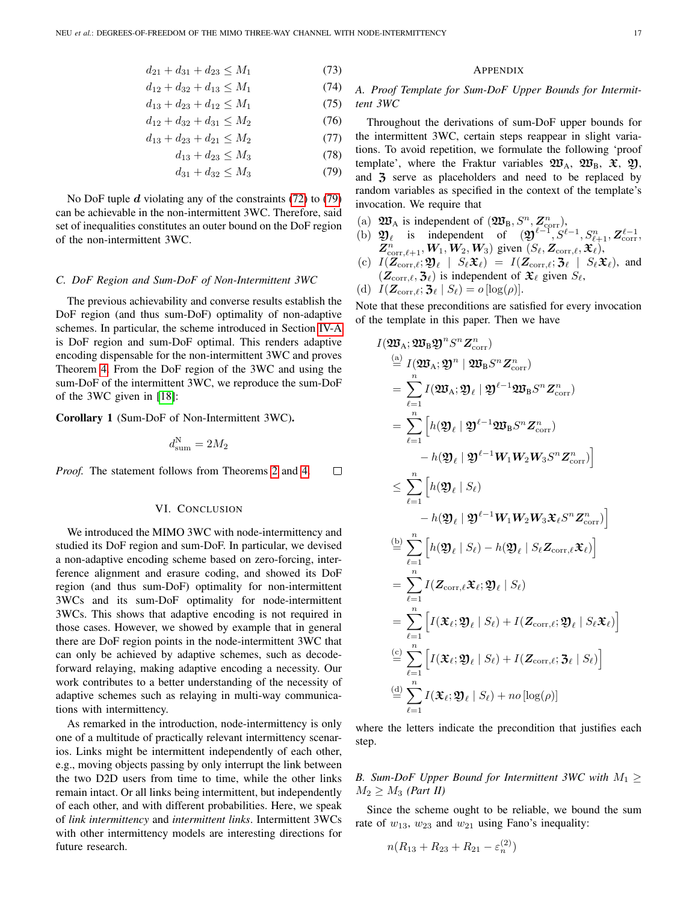$$
d_{21} + d_{31} + d_{23} \le M_1 \tag{73}
$$

$$
d_{12} + d_{32} + d_{13} \le M_1 \tag{74}
$$

$$
d_{13} + d_{23} + d_{12} \le M_1 \tag{75}
$$

$$
d_{12} + d_{32} + d_{31} \le M_2 \tag{76}
$$

$$
d_{13} + d_{23} + d_{21} \le M_2 \tag{77}
$$

$$
d_{13} + d_{23} \le M_3 \tag{78}
$$

$$
d_{31} + d_{32} \le M_3 \tag{79}
$$

No DoF tuple  $d$  violating any of the constraints [\(72\)](#page-15-6) to [\(79\)](#page-16-3) can be achievable in the non-intermittent 3WC. Therefore, said set of inequalities constitutes an outer bound on the DoF region of the non-intermittent 3WC.

#### <span id="page-16-2"></span>*C. DoF Region and Sum-DoF of Non-Intermittent 3WC*

The previous achievability and converse results establish the DoF region (and thus sum-DoF) optimality of non-adaptive schemes. In particular, the scheme introduced in Section [IV-A](#page-6-1) is DoF region and sum-DoF optimal. This renders adaptive encoding dispensable for the non-intermittent 3WC and proves Theorem [4.](#page-5-2) From the DoF region of the 3WC and using the sum-DoF of the intermittent 3WC, we reproduce the sum-DoF of the 3WC given in [\[18\]](#page-18-11):

<span id="page-16-1"></span>Corollary 1 (Sum-DoF of Non-Intermittent 3WC).

$$
d_{\rm sum}^{\rm N}=2M_2
$$

*Proof.* The statement follows from Theorems [2](#page-4-2) and [4.](#page-5-2)  $\Box$ 

#### VI. CONCLUSION

<span id="page-16-0"></span>We introduced the MIMO 3WC with node-intermittency and studied its DoF region and sum-DoF. In particular, we devised a non-adaptive encoding scheme based on zero-forcing, interference alignment and erasure coding, and showed its DoF region (and thus sum-DoF) optimality for non-intermittent 3WCs and its sum-DoF optimality for node-intermittent 3WCs. This shows that adaptive encoding is not required in those cases. However, we showed by example that in general there are DoF region points in the node-intermittent 3WC that can only be achieved by adaptive schemes, such as decodeforward relaying, making adaptive encoding a necessity. Our work contributes to a better understanding of the necessity of adaptive schemes such as relaying in multi-way communications with intermittency.

As remarked in the introduction, node-intermittency is only one of a multitude of practically relevant intermittency scenarios. Links might be intermittent independently of each other, e.g., moving objects passing by only interrupt the link between the two D2D users from time to time, while the other links remain intact. Or all links being intermittent, but independently of each other, and with different probabilities. Here, we speak of *link intermittency* and *intermittent links*. Intermittent 3WCs with other intermittency models are interesting directions for future research.

#### **APPENDIX**

## <span id="page-16-5"></span>*A. Proof Template for Sum-DoF Upper Bounds for Intermittent 3WC*

<span id="page-16-3"></span>Throughout the derivations of sum-DoF upper bounds for the intermittent 3WC, certain steps reappear in slight variations. To avoid repetition, we formulate the following 'proof template', where the Fraktur variables  $\mathfrak{W}_A$ ,  $\mathfrak{W}_B$ ,  $\mathfrak{X}$ ,  $\mathfrak{Y}$ , and 3 serve as placeholders and need to be replaced by random variables as specified in the context of the template's invocation. We require that

- (a)  $\mathfrak{W}_{\mathrm{A}}$  is independent of  $(\mathfrak{W}_{\mathrm{B}}, S^n, Z^n_{\mathrm{corr}})$ ,
- (b)  $\mathfrak{Y}_{\ell}$  is independent of  $(\mathfrak{Y}^{\ell-1}, S^{\ell-1}, S^n_{\ell+1}, Z^{\ell-1}_{\text{corr}})$  $\mathbb{Z}^n_{\text{corr},\ell+1}, W_1, W_2, W_3)$  given  $(S_\ell, Z_{\text{corr},\ell}, \mathfrak{X}_\ell)$ ,
- (c)  $I(\mathbf{Z}_{\text{corr},\ell}; \mathfrak{Y}_{\ell} \mid S_{\ell} \mathfrak{X}_{\ell}) = I(\mathbf{Z}_{\text{corr},\ell}; \mathfrak{Z}_{\ell} \mid S_{\ell} \mathfrak{X}_{\ell})$ , and  $(Z_{\text{corr}, \ell}, \mathfrak{Z}_{\ell})$  is independent of  $\mathfrak{X}_{\ell}$  given  $S_{\ell}$ ,

(d) 
$$
I(\mathbf{Z}_{\text{corr},\ell}; \mathbf{3}_{\ell} | S_{\ell}) = o[\log(\rho)].
$$

Note that these preconditions are satisfied for every invocation of the template in this paper. Then we have

$$
I(\mathfrak{W}_{A}; \mathfrak{W}_{B} \mathfrak{Y}^{n} S^{n} Z_{\text{corr}}^{n})
$$
\n
$$
\stackrel{(a)}{=} I(\mathfrak{W}_{A}; \mathfrak{Y}^{n} | \mathfrak{W}_{B} S^{n} Z_{\text{corr}}^{n})
$$
\n
$$
= \sum_{\ell=1}^{n} I(\mathfrak{W}_{A}; \mathfrak{Y}_{\ell} | \mathfrak{Y}^{\ell-1} \mathfrak{W}_{B} S^{n} Z_{\text{corr}}^{n})
$$
\n
$$
= \sum_{\ell=1}^{n} \left[ h(\mathfrak{Y}_{\ell} | \mathfrak{Y}^{\ell-1} \mathfrak{W}_{B} S^{n} Z_{\text{corr}}^{n}) - h(\mathfrak{Y}_{\ell} | \mathfrak{Y}^{\ell-1} W_{1} W_{2} W_{3} S^{n} Z_{\text{corr}}^{n}) \right]
$$
\n
$$
\leq \sum_{\ell=1}^{n} \left[ h(\mathfrak{Y}_{\ell} | S_{\ell}) - h(\mathfrak{Y}_{\ell} | \mathfrak{Y}^{\ell-1} W_{1} W_{2} W_{3} \mathfrak{X}_{\ell} S^{n} Z_{\text{corr}}^{n}) \right]
$$
\n
$$
\stackrel{(b)}{=} \sum_{\ell=1}^{n} \left[ h(\mathfrak{Y}_{\ell} | S_{\ell}) - h(\mathfrak{Y}_{\ell} | S_{\ell} Z_{\text{corr},\ell} \mathfrak{X}_{\ell}) \right]
$$
\n
$$
= \sum_{\ell=1}^{n} I(Z_{\text{corr},\ell} \mathfrak{X}_{\ell}; \mathfrak{Y}_{\ell} | S_{\ell})
$$
\n
$$
= \sum_{\ell=1}^{n} \left[ I(\mathfrak{X}_{\ell}; \mathfrak{Y}_{\ell} | S_{\ell}) + I(Z_{\text{corr},\ell}; \mathfrak{Y}_{\ell} | S_{\ell} \mathfrak{X}_{\ell}) \right]
$$
\n
$$
\stackrel{(c)}{=} \sum_{\ell=1}^{n} \left[ I(\mathfrak{X}_{\ell}; \mathfrak{Y}_{\ell} | S_{\ell}) + I(Z_{\text{corr},\ell}; \mathfrak{Z}_{\ell} | S_{\ell}) \right]
$$
\n
$$
\stackrel{(d)}
$$

where the letters indicate the precondition that justifies each step.

## <span id="page-16-4"></span>*B. Sum-DoF Upper Bound for Intermittent 3WC with*  $M_1 \geq$  $M_2 \geq M_3$  *(Part II)*

Since the scheme ought to be reliable, we bound the sum rate of  $w_{13}$ ,  $w_{23}$  and  $w_{21}$  using Fano's inequality:

$$
n(R_{13} + R_{23} + R_{21} - \varepsilon_n^{(2)})
$$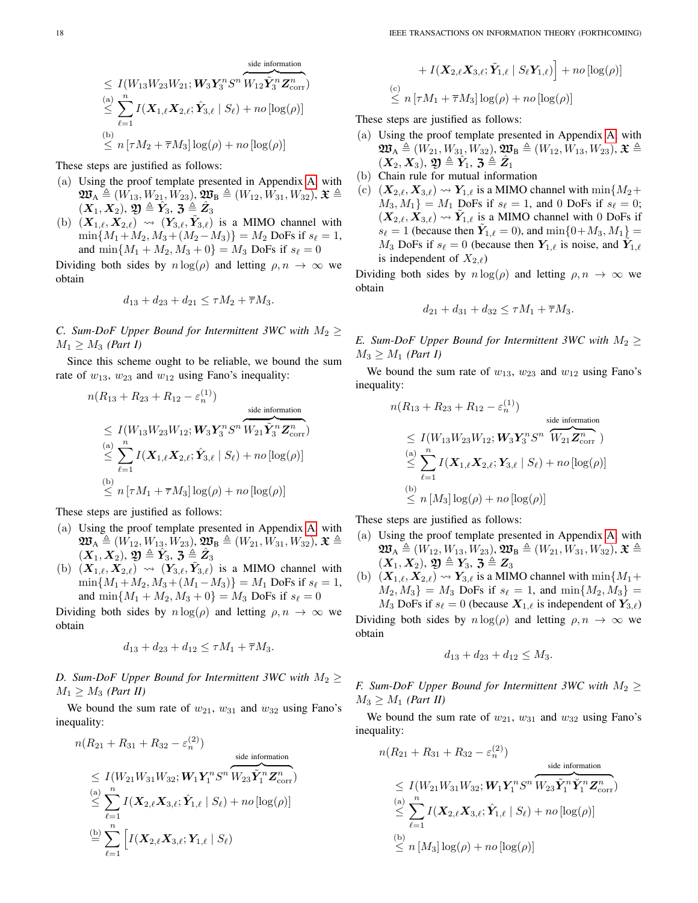$$
\leq I(W_{13}W_{23}W_{21}; W_3Y_3^nS^n\overbrace{W_{12}\tilde{Y}_3^nZ_{\text{corr}}^n}^{\text{side information}})
$$
\n
$$
\leq \sum_{\ell=1}^n I(X_{1,\ell}X_{2,\ell}; \hat{Y}_{3,\ell} | S_{\ell}) + n\sigma[\log(\rho)]
$$
\n
$$
\leq n \left[ \tau M_2 + \overline{\tau} M_3 \right] \log(\rho) + n\sigma[\log(\rho)]
$$

These steps are justified as follows:

- (a) Using the proof template presented in Appendix [A,](#page-16-5) with  $\mathfrak{W}_{A} \triangleq (W_{13}, W_{21}, W_{23}), \mathfrak{W}_{B} \triangleq (W_{12}, W_{31}, W_{32}), \mathfrak{X} \triangleq$  $(\overrightarrow{X_1},\overrightarrow{X_2}),\ \overrightarrow{\mathbf{y}}\triangleq \overrightarrow{\hat{Y}_3},\ \mathbf{\bar{3}}\triangleq \overrightarrow{\hat{Z}_3}$
- (b)  $(X_{1,\ell}, X_{2,\ell}) \rightsquigarrow (Y_{3,\ell}, \tilde{Y}_{3,\ell})$  is a MIMO channel with  $\min\{M_1+M_2, M_3+(M_2-M_3)\} = M_2$  DoFs if  $s_\ell = 1$ , and  $\min\{M_1 + M_2, M_3 + 0\} = M_3$  DoFs if  $s_\ell = 0$

Dividing both sides by  $n \log(\rho)$  and letting  $\rho, n \to \infty$  we obtain

$$
d_{13} + d_{23} + d_{21} \le \tau M_2 + \overline{\tau} M_3.
$$

<span id="page-17-0"></span>*C. Sum-DoF Upper Bound for Intermittent 3WC with*  $M_2 \geq$  $M_1 \geq M_3$  *(Part I)* 

Since this scheme ought to be reliable, we bound the sum rate of  $w_{13}$ ,  $w_{23}$  and  $w_{12}$  using Fano's inequality:

$$
n(R_{13} + R_{23} + R_{12} - \varepsilon_n^{(1)})
$$
  
\n
$$
\leq I(W_{13}W_{23}W_{12}; W_3Y_3^nS^n \overbrace{W_{21}\tilde{Y}_3^nZ_{\text{corr}}^n}^{side information})
$$
  
\n
$$
\leq \sum_{\ell=1}^n I(\mathbf{X}_{1,\ell}\mathbf{X}_{2,\ell}; \hat{\mathbf{Y}}_{3,\ell} | S_{\ell}) + n\sigma[\log(\rho)]
$$
  
\n
$$
\leq n[\tau M_1 + \overline{\tau}M_3] \log(\rho) + n\sigma[\log(\rho)]
$$

These steps are justified as follows:

- (a) Using the proof template presented in Appendix [A,](#page-16-5) with  $\mathfrak{W}_{\mathrm{A}}\triangleq (W_{12}, W_{13}, W_{23}), \mathfrak{W}_{\mathrm{B}}\triangleq (W_{21}, W_{31}, W_{32}),$   $\mathfrak{X}\triangleq$  $(\boldsymbol{X}_{1}, \boldsymbol{X}_{2}), \, \boldsymbol{\mathfrak{Y}}\triangleq\hat{\boldsymbol{Y}}_{3}, \, \boldsymbol{\mathfrak{Z}}\triangleq\hat{\boldsymbol{Z}}_{3}$
- (b)  $(X_{1,\ell}, X_{2,\ell}) \rightsquigarrow (Y_{3,\ell}, \tilde{Y}_{3,\ell})$  is a MIMO channel with  $\min\{M_1+M_2, M_3+(M_1-M_3)\} = M_1$  DoFs if  $s_\ell = 1$ , and  $\min\{M_1 + M_2, M_3 + 0\} = M_3$  DoFs if  $s_\ell = 0$

Dividing both sides by  $n \log(\rho)$  and letting  $\rho, n \to \infty$  we obtain

$$
d_{13} + d_{23} + d_{12} \le \tau M_1 + \overline{\tau} M_3.
$$

<span id="page-17-1"></span>*D. Sum-DoF Upper Bound for Intermittent 3WC with*  $M_2 \geq$  $M_1 \geq M_3$  *(Part II)* 

We bound the sum rate of  $w_{21}$ ,  $w_{31}$  and  $w_{32}$  using Fano's inequality:

$$
n(R_{21} + R_{31} + R_{32} - \varepsilon_n^{(2)})
$$
  
\n
$$
\leq I(W_{21}W_{31}W_{32}; W_1Y_1^nS^nW_{23}\tilde{Y}_1^nZ_{corr}^n)
$$
  
\n(a)  $\sum_{\ell=1}^n I(X_{2,\ell}X_{3,\ell}; \hat{Y}_{1,\ell} | S_{\ell}) + n\sigma[\log(\rho)]$   
\n
$$
\stackrel{\text{(b)}}{=} \sum_{\ell=1}^n \left[ I(X_{2,\ell}X_{3,\ell}; Y_{1,\ell} | S_{\ell}) \right]
$$

$$
+ I(\boldsymbol{X}_{2,\ell}\boldsymbol{X}_{3,\ell};\tilde{\boldsymbol{Y}}_{1,\ell} \mid S_{\ell}\boldsymbol{Y}_{1,\ell})\Big] + no\left[\log(\rho)\right] \\ \stackrel{\text{(c)}}{\leq} n\left[\tau M_1 + \overline{\tau}M_3\right] \log(\rho) + no\left[\log(\rho)\right]
$$

These steps are justified as follows:

 $\overset{\rm (c)}{<}$ 

- (a) Using the proof template presented in Appendix [A,](#page-16-5) with  $\mathfrak{W}_{\mathrm{A}}\triangleq (W_{21}, W_{31}, W_{32}), \mathfrak{W}_{\mathrm{B}}\triangleq (W_{12}, W_{13}, W_{23}),$   $\mathfrak{X}\triangleq$  $(\boldsymbol{X}_2, \boldsymbol{X}_3), \, \boldsymbol{\mathfrak{Y}} \triangleq \hat{\boldsymbol{Y}_1}, \, \boldsymbol{\mathfrak{Z}} \triangleq \hat{\boldsymbol{Z}_1}$
- (b) Chain rule for mutual information
- (c)  $(X_{2,\ell}, X_{3,\ell}) \rightarrow Y_{1,\ell}$  is a MIMO channel with  $\min\{M_2+\}$  $M_3, M_1$  =  $M_1$  DoFs if  $s_\ell = 1$ , and 0 DoFs if  $s_\ell = 0$ ;  $(\mathbf{X}_{2,\ell}, \mathbf{X}_{3,\ell}) \leadsto \tilde{\mathbf{Y}}_{1,\ell}$  is a MIMO channel with 0 DoFs if  $s_{\ell} = 1$  (because then  $\tilde{Y}_{1,\ell} = 0$ ), and  $\min\{0 + M_3, M_1\} =$  $M_3$  DoFs if  $s_\ell = 0$  (because then  $Y_{1,\ell}$  is noise, and  $\tilde{Y}_{1,\ell}$ is independent of  $X_{2,\ell}$ )

Dividing both sides by  $n \log(\rho)$  and letting  $\rho, n \to \infty$  we obtain

$$
d_{21} + d_{31} + d_{32} \le \tau M_1 + \overline{\tau} M_3.
$$

<span id="page-17-2"></span>*E.* Sum-DoF Upper Bound for Intermittent 3WC with  $M_2 \geq$  $M_3 \geq M_1$  *(Part I)* 

We bound the sum rate of  $w_{13}$ ,  $w_{23}$  and  $w_{12}$  using Fano's inequality:

$$
n(R_{13} + R_{23} + R_{12} - \varepsilon_n^{(1)})
$$
  
\n
$$
\leq I(W_{13}W_{23}W_{12}; W_3Y_3^n S^n \overbrace{W_{21}}^{side\text{ information}}
$$
  
\n
$$
\leq \sum_{\ell=1}^n I(\mathbf{X}_{1,\ell}\mathbf{X}_{2,\ell}; \mathbf{Y}_{3,\ell} | S_{\ell}) + n o[\log(\rho)]
$$
  
\n
$$
\leq n [M_3] \log(\rho) + n o[\log(\rho)]
$$

These steps are justified as follows:

- (a) Using the proof template presented in Appendix [A,](#page-16-5) with  $\mathfrak{W}_{A} \triangleq (W_{12}, W_{13}, W_{23}), \mathfrak{W}_{B} \triangleq (W_{21}, W_{31}, W_{32}), \mathfrak{X} \triangleq$  $(X_1, X_2), \mathfrak{Y} \triangleq Y_3, \mathfrak{Z} \triangleq Z_3$
- (b)  $(X_{1,\ell}, X_{2,\ell}) \rightarrow Y_{3,\ell}$  is a MIMO channel with  $\min\{M_1+\}$  $M_2, M_3$  =  $M_3$  DoFs if  $s_\ell = 1$ , and min $\{M_2, M_3\} =$  $M_3$  DoFs if  $s_\ell = 0$  (because  $X_{1,\ell}$  is independent of  $Y_{3,\ell}$ )

Dividing both sides by  $n \log(\rho)$  and letting  $\rho, n \to \infty$  we obtain

$$
d_{13} + d_{23} + d_{12} \le M_3.
$$

<span id="page-17-3"></span>*F.* Sum-DoF Upper Bound for Intermittent 3WC with  $M_2 \geq$  $M_3 \geq M_1$  *(Part II)* 

We bound the sum rate of  $w_{21}$ ,  $w_{31}$  and  $w_{32}$  using Fano's inequality:

$$
n(R_{21} + R_{31} + R_{32} - \varepsilon_n^{(2)})
$$
  
\n
$$
\leq I(W_{21}W_{31}W_{32}; \mathbf{W}_1\mathbf{Y}_1^n S^n \overbrace{W_{23} \tilde{\mathbf{Y}}_1^n \tilde{\mathbf{Y}}_1^n}^{\text{side information}}
$$
  
\n
$$
\leq \sum_{\ell=1}^n I(\mathbf{X}_{2,\ell} \mathbf{X}_{3,\ell}; \hat{\mathbf{Y}}_{1,\ell} | S_{\ell}) + n o[log(\rho)]
$$
  
\n(b)  
\n
$$
\leq n [M_3] \log(\rho) + n o[log(\rho)]
$$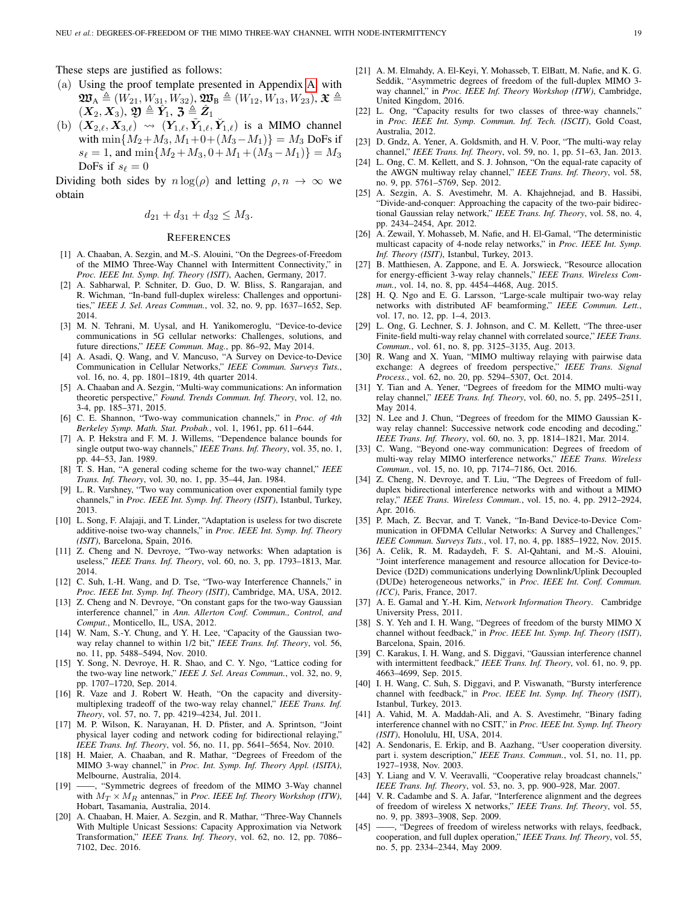These steps are justified as follows:

- (a) Using the proof template presented in Appendix [A,](#page-16-5) with  $\mathfrak{W}_{A} \triangleq (W_{21}, W_{31}, W_{32}), \mathfrak{W}_{B} \triangleq (W_{12}, W_{13}, W_{23}), \mathfrak{X} \triangleq$  $(\boldsymbol{X}_{2}, \boldsymbol{X}_{3}), \, \boldsymbol{\mathfrak{Y}}\triangleq\hat{\boldsymbol{Y}}_{\!1}, \, \boldsymbol{\mathfrak{Z}}\triangleq\hat{\boldsymbol{Z}}_{1}$
- (b)  $(X_{2,\ell}, X_{3,\ell}) \leadsto (Y_{1,\ell}, \tilde{Y}_{1,\ell}, \check{Y}_{1,\ell})$  is a MIMO channel with  $\min\{M_2+M_3, M_1+0+(M_3-M_1)\}=M_3$  DoFs if  $s_{\ell} = 1$ , and  $\min\{M_2 + M_3, 0 + M_1 + (M_3 - M_1)\} = M_3$ DoFs if  $s_\ell = 0$

Dividing both sides by  $n \log(\rho)$  and letting  $\rho, n \to \infty$  we obtain

$$
d_{21} + d_{31} + d_{32} \le M_3.
$$

#### **REFERENCES**

- <span id="page-18-0"></span>[1] A. Chaaban, A. Sezgin, and M.-S. Alouini, "On the Degrees-of-Freedom of the MIMO Three-Way Channel with Intermittent Connectivity," in *Proc. IEEE Int. Symp. Inf. Theory (ISIT)*, Aachen, Germany, 2017.
- <span id="page-18-1"></span>[2] A. Sabharwal, P. Schniter, D. Guo, D. W. Bliss, S. Rangarajan, and R. Wichman, "In-band full-duplex wireless: Challenges and opportunities," *IEEE J. Sel. Areas Commun.*, vol. 32, no. 9, pp. 1637–1652, Sep. 2014.
- <span id="page-18-16"></span>[3] M. N. Tehrani, M. Uysal, and H. Yanikomeroglu, "Device-to-device communications in 5G cellular networks: Challenges, solutions, and future directions," *IEEE Commun. Mag.*, pp. 86–92, May 2014.
- <span id="page-18-2"></span>[4] A. Asadi, Q. Wang, and V. Mancuso, "A Survey on Device-to-Device Communication in Cellular Networks," *IEEE Commun. Surveys Tuts.*, vol. 16, no. 4, pp. 1801–1819, 4th quarter 2014.
- <span id="page-18-3"></span>[5] A. Chaaban and A. Sezgin, "Multi-way communications: An information theoretic perspective," *Found. Trends Commun. Inf. Theory*, vol. 12, no. 3-4, pp. 185–371, 2015.
- <span id="page-18-4"></span>[6] C. E. Shannon, "Two-way communication channels," in *Proc. of 4th Berkeley Symp. Math. Stat. Probab.*, vol. 1, 1961, pp. 611–644.
- <span id="page-18-5"></span>[7] A. P. Hekstra and F. M. J. Willems, "Dependence balance bounds for single output two-way channels," *IEEE Trans. Inf. Theory*, vol. 35, no. 1, pp. 44–53, Jan. 1989.
- [8] T. S. Han, "A general coding scheme for the two-way channel," *IEEE Trans. Inf. Theory*, vol. 30, no. 1, pp. 35–44, Jan. 1984.
- <span id="page-18-26"></span>[9] L. R. Varshney, "Two way communication over exponential family type channels," in *Proc. IEEE Int. Symp. Inf. Theory (ISIT)*, Istanbul, Turkey, 2013.
- <span id="page-18-6"></span>[10] L. Song, F. Alajaji, and T. Linder, "Adaptation is useless for two discrete additive-noise two-way channels," in *Proc. IEEE Int. Symp. Inf. Theory (ISIT)*, Barcelona, Spain, 2016.
- <span id="page-18-7"></span>[11] Z. Cheng and N. Devroye, "Two-way networks: When adaptation is useless," *IEEE Trans. Inf. Theory*, vol. 60, no. 3, pp. 1793–1813, Mar. 2014.
- [12] C. Suh, I.-H. Wang, and D. Tse, "Two-way Interference Channels," in *Proc. IEEE Int. Symp. Inf. Theory (ISIT)*, Cambridge, MA, USA, 2012.
- <span id="page-18-8"></span>[13] Z. Cheng and N. Devroye, "On constant gaps for the two-way Gaussian interference channel," in *Ann. Allerton Conf. Commun., Control, and Comput.*, Monticello, IL, USA, 2012.
- <span id="page-18-9"></span>[14] W. Nam, S.-Y. Chung, and Y. H. Lee, "Capacity of the Gaussian twoway relay channel to within 1/2 bit," *IEEE Trans. Inf. Theory*, vol. 56, no. 11, pp. 5488–5494, Nov. 2010.
- [15] Y. Song, N. Devroye, H. R. Shao, and C. Y. Ngo, "Lattice coding for the two-way line network," *IEEE J. Sel. Areas Commun.*, vol. 32, no. 9, pp. 1707–1720, Sep. 2014.
- [16] R. Vaze and J. Robert W. Heath, "On the capacity and diversitymultiplexing tradeoff of the two-way relay channel," *IEEE Trans. Inf. Theory*, vol. 57, no. 7, pp. 4219–4234, Jul. 2011.
- <span id="page-18-10"></span>[17] M. P. Wilson, K. Narayanan, H. D. Pfister, and A. Sprintson, "Joint physical layer coding and network coding for bidirectional relaying," *IEEE Trans. Inf. Theory*, vol. 56, no. 11, pp. 5641–5654, Nov. 2010.
- <span id="page-18-11"></span>[18] H. Maier, A. Chaaban, and R. Mathar, "Degrees of Freedom of the MIMO 3-way channel," in *Proc. Int. Symp. Inf. Theory Appl. (ISITA)*, Melbourne, Australia, 2014.
- <span id="page-18-28"></span>[19] ——, "Symmetric degrees of freedom of the MIMO 3-Way channel with  $M_T \times M_R$  antennas," in *Proc. IEEE Inf. Theory Workshop (ITW)*, Hobart, Tasamania, Australia, 2014.
- <span id="page-18-15"></span>[20] A. Chaaban, H. Maier, A. Sezgin, and R. Mathar, "Three-Way Channels With Multiple Unicast Sessions: Capacity Approximation via Network Transformation," *IEEE Trans. Inf. Theory*, vol. 62, no. 12, pp. 7086– 7102, Dec. 2016.
- <span id="page-18-29"></span>[21] A. M. Elmahdy, A. El-Keyi, Y. Mohasseb, T. ElBatt, M. Nafie, and K. G. Seddik, "Asymmetric degrees of freedom of the full-duplex MIMO 3 way channel," in *Proc. IEEE Inf. Theory Workshop (ITW)*, Cambridge, United Kingdom, 2016.
- <span id="page-18-12"></span>[22] L. Ong, "Capacity results for two classes of three-way channels," in *Proc. IEEE Int. Symp. Commun. Inf. Tech. (ISCIT)*, Gold Coast, Australia, 2012.
- <span id="page-18-13"></span>[23] D. Gndz, A. Yener, A. Goldsmith, and H. V. Poor, "The multi-way relay channel," *IEEE Trans. Inf. Theory*, vol. 59, no. 1, pp. 51–63, Jan. 2013.
- [24] L. Ong, C. M. Kellett, and S. J. Johnson, "On the equal-rate capacity of the AWGN multiway relay channel," *IEEE Trans. Inf. Theory*, vol. 58, no. 9, pp. 5761–5769, Sep. 2012.
- [25] A. Sezgin, A. S. Avestimehr, M. A. Khajehnejad, and B. Hassibi, "Divide-and-conquer: Approaching the capacity of the two-pair bidirectional Gaussian relay network," *IEEE Trans. Inf. Theory*, vol. 58, no. 4, pp. 2434–2454, Apr. 2012.
- [26] A. Zewail, Y. Mohasseb, M. Nafie, and H. El-Gamal, "The deterministic multicast capacity of 4-node relay networks," in *Proc. IEEE Int. Symp. Inf. Theory (ISIT)*, Istanbul, Turkey, 2013.
- [27] B. Matthiesen, A. Zappone, and E. A. Jorswieck, "Resource allocation for energy-efficient 3-way relay channels," *IEEE Trans. Wireless Commun.*, vol. 14, no. 8, pp. 4454–4468, Aug. 2015.
- [28] H. Q. Ngo and E. G. Larsson, "Large-scale multipair two-way relay networks with distributed AF beamforming," *IEEE Commun. Lett.*, vol. 17, no. 12, pp. 1–4, 2013.
- [29] L. Ong, G. Lechner, S. J. Johnson, and C. M. Kellett, "The three-user Finite-field multi-way relay channel with correlated source," *IEEE Trans. Commun.*, vol. 61, no. 8, pp. 3125–3135, Aug. 2013.
- [30] R. Wang and X. Yuan, "MIMO multiway relaying with pairwise data exchange: A degrees of freedom perspective," *IEEE Trans. Signal Process.*, vol. 62, no. 20, pp. 5294–5307, Oct. 2014.
- [31] Y. Tian and A. Yener, "Degrees of freedom for the MIMO multi-way relay channel," *IEEE Trans. Inf. Theory*, vol. 60, no. 5, pp. 2495–2511, May 2014.
- [32] N. Lee and J. Chun, "Degrees of freedom for the MIMO Gaussian Kway relay channel: Successive network code encoding and decoding." *IEEE Trans. Inf. Theory*, vol. 60, no. 3, pp. 1814–1821, Mar. 2014.
- [33] C. Wang, "Beyond one-way communication: Degrees of freedom of multi-way relay MIMO interference networks," *IEEE Trans. Wireless Commun.*, vol. 15, no. 10, pp. 7174–7186, Oct. 2016.
- <span id="page-18-14"></span>[34] Z. Cheng, N. Devroye, and T. Liu, "The Degrees of Freedom of fullduplex bidirectional interference networks with and without a MIMO relay," *IEEE Trans. Wireless Commun.*, vol. 15, no. 4, pp. 2912–2924, Apr. 2016.
- <span id="page-18-17"></span>[35] P. Mach, Z. Becvar, and T. Vanek, "In-Band Device-to-Device Communication in OFDMA Cellular Networks: A Survey and Challenges" *IEEE Commun. Surveys Tuts.*, vol. 17, no. 4, pp. 1885–1922, Nov. 2015.
- <span id="page-18-18"></span>[36] A. Celik, R. M. Radaydeh, F. S. Al-Qahtani, and M.-S. Alouini, "Joint interference management and resource allocation for Device-to-Device (D2D) communications underlying Downlink/Uplink Decoupled (DUDe) heterogeneous networks," in *Proc. IEEE Int. Conf. Commun. (ICC)*, Paris, France, 2017.
- <span id="page-18-19"></span>[37] A. E. Gamal and Y.-H. Kim, *Network Information Theory*. Cambridge University Press, 2011.
- <span id="page-18-20"></span>[38] S. Y. Yeh and I. H. Wang, "Degrees of freedom of the bursty MIMO X channel without feedback," in *Proc. IEEE Int. Symp. Inf. Theory (ISIT)*, Barcelona, Spain, 2016.
- <span id="page-18-21"></span>[39] C. Karakus, I. H. Wang, and S. Diggavi, "Gaussian interference channel with intermittent feedback," *IEEE Trans. Inf. Theory*, vol. 61, no. 9, pp. 4663–4699, Sep. 2015.
- [40] I. H. Wang, C. Suh, S. Diggavi, and P. Viswanath, "Bursty interference channel with feedback," in *Proc. IEEE Int. Symp. Inf. Theory (ISIT)*, Istanbul, Turkey, 2013.
- <span id="page-18-22"></span>[41] A. Vahid, M. A. Maddah-Ali, and A. S. Avestimehr, "Binary fading interference channel with no CSIT," in *Proc. IEEE Int. Symp. Inf. Theory (ISIT)*, Honolulu, HI, USA, 2014.
- <span id="page-18-23"></span>[42] A. Sendonaris, E. Erkip, and B. Aazhang, "User cooperation diversity. part i. system description," *IEEE Trans. Commun.*, vol. 51, no. 11, pp. 1927–1938, Nov. 2003.
- <span id="page-18-24"></span>[43] Y. Liang and V. V. Veeravalli, "Cooperative relay broadcast channels," *IEEE Trans. Inf. Theory*, vol. 53, no. 3, pp. 900–928, Mar. 2007.
- <span id="page-18-25"></span>[44] V. R. Cadambe and S. A. Jafar, "Interference alignment and the degrees of freedom of wireless X networks," *IEEE Trans. Inf. Theory*, vol. 55, no. 9, pp. 3893–3908, Sep. 2009.
- <span id="page-18-27"></span>[45] -, "Degrees of freedom of wireless networks with relays, feedback, cooperation, and full duplex operation," *IEEE Trans. Inf. Theory*, vol. 55, no. 5, pp. 2334–2344, May 2009.